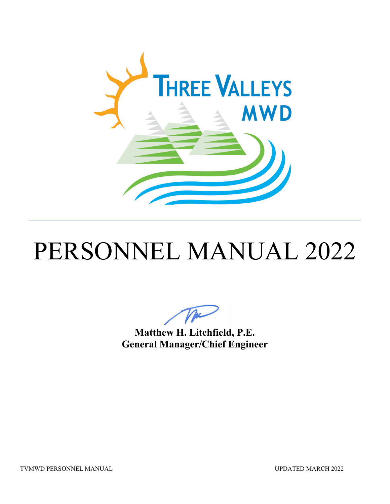

# PERSONNEL MANUAL 2022

**Matthew H. Litchfield, P.E. General Manager/Chief Engineer**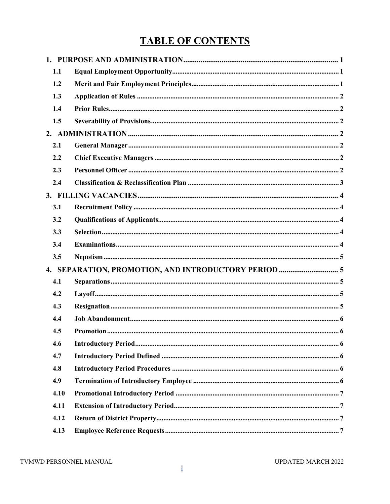# **TABLE OF CONTENTS**

| 1.1  |  |  |  |
|------|--|--|--|
| 1.2  |  |  |  |
| 1.3  |  |  |  |
| 1.4  |  |  |  |
| 1.5  |  |  |  |
|      |  |  |  |
| 2.1  |  |  |  |
| 2.2  |  |  |  |
| 2.3  |  |  |  |
| 2.4  |  |  |  |
|      |  |  |  |
| 3.1  |  |  |  |
| 3.2  |  |  |  |
| 3.3  |  |  |  |
| 3.4  |  |  |  |
| 3.5  |  |  |  |
| 4.   |  |  |  |
| 4.1  |  |  |  |
|      |  |  |  |
| 4.2  |  |  |  |
| 4.3  |  |  |  |
| 4.4  |  |  |  |
| 4.5  |  |  |  |
| 4.6  |  |  |  |
| 4.7  |  |  |  |
| 4.8  |  |  |  |
| 4.9  |  |  |  |
| 4.10 |  |  |  |
| 4.11 |  |  |  |
| 4.12 |  |  |  |
| 4.13 |  |  |  |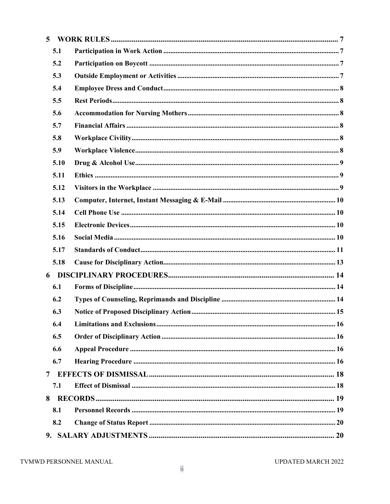| 5 <sup>5</sup> |      |  |
|----------------|------|--|
|                | 5.1  |  |
|                | 5.2  |  |
|                | 5.3  |  |
|                | 5.4  |  |
|                | 5.5  |  |
|                | 5.6  |  |
|                | 5.7  |  |
|                | 5.8  |  |
|                | 5.9  |  |
|                | 5.10 |  |
|                | 5.11 |  |
|                | 5.12 |  |
|                | 5.13 |  |
|                | 5.14 |  |
|                | 5.15 |  |
|                | 5.16 |  |
|                | 5.17 |  |
|                | 5.18 |  |
| 6              |      |  |
|                | 6.1  |  |
|                | 6.2  |  |
|                | 6.3  |  |
|                | 6.4  |  |
|                | 6.5  |  |
|                | 6.6  |  |
|                | 6.7  |  |
| 7              |      |  |
|                | 7.1  |  |
|                |      |  |
|                | 8.1  |  |
|                | 8.2  |  |
|                |      |  |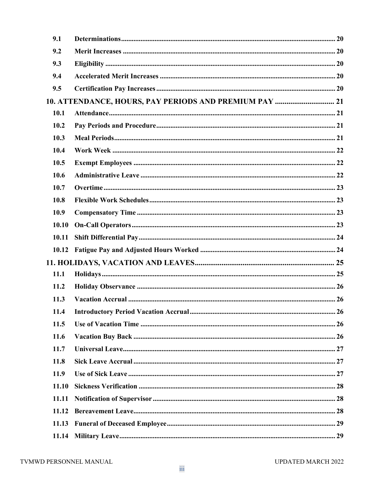| 9.1   |                                                        |  |
|-------|--------------------------------------------------------|--|
| 9.2   |                                                        |  |
| 9.3   |                                                        |  |
| 9.4   |                                                        |  |
| 9.5   |                                                        |  |
|       | 10. ATTENDANCE, HOURS, PAY PERIODS AND PREMIUM PAY  21 |  |
| 10.1  |                                                        |  |
| 10.2  |                                                        |  |
| 10.3  |                                                        |  |
| 10.4  |                                                        |  |
| 10.5  |                                                        |  |
| 10.6  |                                                        |  |
| 10.7  |                                                        |  |
| 10.8  |                                                        |  |
| 10.9  |                                                        |  |
| 10.10 |                                                        |  |
| 10.11 |                                                        |  |
|       |                                                        |  |
| 10.12 |                                                        |  |
|       |                                                        |  |
| 11.1  |                                                        |  |
| 11.2  |                                                        |  |
| 11.3  |                                                        |  |
| 11.4  |                                                        |  |
| 11.5  |                                                        |  |
| 11.6  |                                                        |  |
| 11.7  |                                                        |  |
| 11.8  |                                                        |  |
| 11.9  |                                                        |  |
| 11.10 |                                                        |  |
| 11.11 |                                                        |  |
| 11.12 |                                                        |  |
| 11.13 |                                                        |  |
| 11.14 |                                                        |  |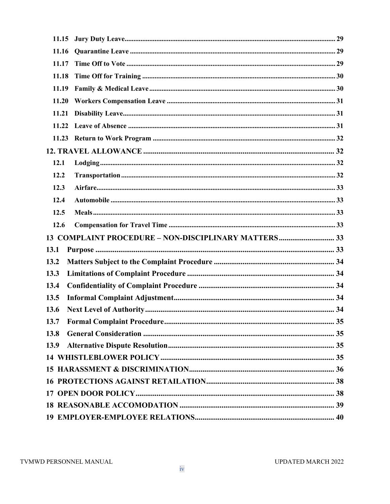| 11.15                                                |  |
|------------------------------------------------------|--|
| 11.16                                                |  |
| 11.17                                                |  |
| 11.18                                                |  |
| 11.19                                                |  |
| 11.20                                                |  |
| 11.21                                                |  |
| 11.22                                                |  |
| 11.23                                                |  |
|                                                      |  |
| 12.1                                                 |  |
| 12.2                                                 |  |
| 12.3                                                 |  |
| 12.4                                                 |  |
| 12.5                                                 |  |
| 12.6                                                 |  |
| 13 COMPLAINT PROCEDURE - NON-DISCIPLINARY MATTERS 33 |  |
| 13.1                                                 |  |
| 13.2                                                 |  |
| 13.3                                                 |  |
| 13.4                                                 |  |
| 13.5                                                 |  |
| 13.6                                                 |  |
| 13.7                                                 |  |
| 13.8                                                 |  |
| 13.9                                                 |  |
|                                                      |  |
|                                                      |  |
|                                                      |  |
|                                                      |  |
|                                                      |  |
|                                                      |  |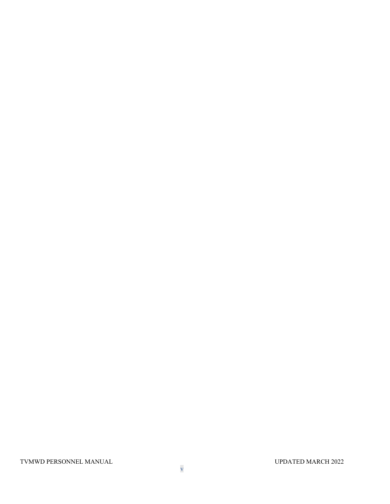TVMWD PERSONNEL MANUAL

#### 2 2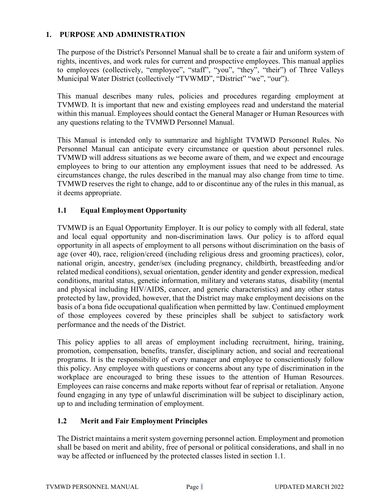# <span id="page-6-0"></span>**1. PURPOSE AND ADMINISTRATION**

The purpose of the District's Personnel Manual shall be to create a fair and uniform system of rights, incentives, and work rules for current and prospective employees. This manual applies to employees (collectively, "employee", "staff", "you", "they", "their") of Three Valleys Municipal Water District (collectively "TVWMD", "District" "we", "our").

This manual describes many rules, policies and procedures regarding employment at TVMWD. It is important that new and existing employees read and understand the material within this manual. Employees should contact the General Manager or Human Resources with any questions relating to the TVMWD Personnel Manual.

This Manual is intended only to summarize and highlight TVMWD Personnel Rules. No Personnel Manual can anticipate every circumstance or question about personnel rules. TVMWD will address situations as we become aware of them, and we expect and encourage employees to bring to our attention any employment issues that need to be addressed. As circumstances change, the rules described in the manual may also change from time to time. TVMWD reserves the right to change, add to or discontinue any of the rules in this manual, as it deems appropriate.

## <span id="page-6-1"></span>**1.1 Equal Employment Opportunity**

TVMWD is an Equal Opportunity Employer. It is our policy to comply with all federal, state and local equal opportunity and non-discrimination laws. Our policy is to afford equal opportunity in all aspects of employment to all persons without discrimination on the basis of age (over 40), race, religion/creed (including religious dress and grooming practices), color, national origin, ancestry, gender/sex (including pregnancy, childbirth, breastfeeding and/or related medical conditions), sexual orientation, gender identity and gender expression, medical conditions, marital status, genetic information, military and veterans status, disability (mental and physical including HIV/AIDS, cancer, and generic characteristics) and any other status protected by law, provided, however, that the District may make employment decisions on the basis of a bona fide occupational qualification when permitted by law. Continued employment of those employees covered by these principles shall be subject to satisfactory work performance and the needs of the District.

This policy applies to all areas of employment including recruitment, hiring, training, promotion, compensation, benefits, transfer, disciplinary action, and social and recreational programs. It is the responsibility of every manager and employee to conscientiously follow this policy. Any employee with questions or concerns about any type of discrimination in the workplace are encouraged to bring these issues to the attention of Human Resources. Employees can raise concerns and make reports without fear of reprisal or retaliation. Anyone found engaging in any type of unlawful discrimination will be subject to disciplinary action, up to and including termination of employment.

#### <span id="page-6-2"></span>**1.2 Merit and Fair Employment Principles**

The District maintains a merit system governing personnel action. Employment and promotion shall be based on merit and ability, free of personal or political considerations, and shall in no way be affected or influenced by the protected classes listed in section 1.1.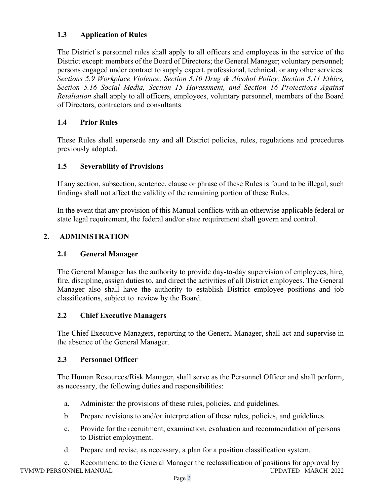# <span id="page-7-0"></span>**1.3 Application of Rules**

The District's personnel rules shall apply to all officers and employees in the service of the District except: members of the Board of Directors; the General Manager; voluntary personnel; persons engaged under contract to supply expert, professional, technical, or any other services. *Sections 5.9 Workplace Violence, Section 5.10 Drug & Alcohol Policy, Section 5.11 Ethics, Section 5.16 Social Media, Section 15 Harassment, and Section 16 Protections Against Retaliation* shall apply to all officers, employees, voluntary personnel, members of the Board of Directors, contractors and consultants.

# <span id="page-7-1"></span>**1.4 Prior Rules**

These Rules shall supersede any and all District policies, rules, regulations and procedures previously adopted.

# <span id="page-7-2"></span>**1.5 Severability of Provisions**

If any section, subsection, sentence, clause or phrase of these Rules is found to be illegal, such findings shall not affect the validity of the remaining portion of these Rules.

In the event that any provision of this Manual conflicts with an otherwise applicable federal or state legal requirement, the federal and/or state requirement shall govern and control.

# <span id="page-7-3"></span>**2. ADMINISTRATION**

# <span id="page-7-4"></span>**2.1 General Manager**

The General Manager has the authority to provide day-to-day supervision of employees, hire, fire, discipline, assign duties to, and direct the activities of all District employees. The General Manager also shall have the authority to establish District employee positions and job classifications, subject to review by the Board.

# <span id="page-7-5"></span>**2.2 Chief Executive Managers**

The Chief Executive Managers, reporting to the General Manager, shall act and supervise in the absence of the General Manager.

#### <span id="page-7-6"></span>**2.3 Personnel Officer**

The Human Resources/Risk Manager, shall serve as the Personnel Officer and shall perform, as necessary, the following duties and responsibilities:

- a. Administer the provisions of these rules, policies, and guidelines.
- b. Prepare revisions to and/or interpretation of these rules, policies, and guidelines.
- c. Provide for the recruitment, examination, evaluation and recommendation of persons to District employment.
- d. Prepare and revise, as necessary, a plan for a position classification system.

TVMWD PERSONNEL MANUAL **TVMWD PERSONNEL MANUAL** e. Recommend to the General Manager the reclassification of positions for approval by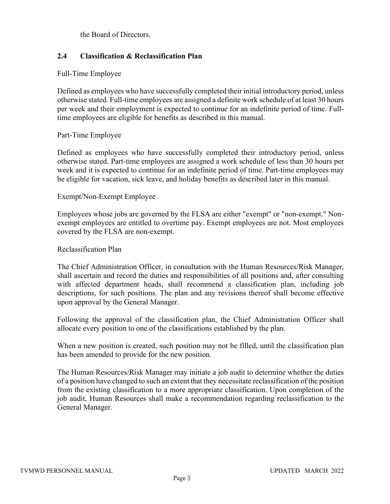the Board of Directors.

#### <span id="page-8-0"></span>**2.4 Classification & Reclassification Plan**

#### Full-Time Employee

Defined as employees who have successfully completed their initial introductory period, unless otherwise stated. Full-time employees are assigned a definite work schedule of at least 30 hours per week and their employment is expected to continue for an indefinite period of time. Fulltime employees are eligible for benefits as described in this manual.

#### Part-Time Employee

Defined as employees who have successfully completed their introductory period, unless otherwise stated. Part-time employees are assigned a work schedule of less than 30 hours per week and it is expected to continue for an indefinite period of time. Part-time employees may be eligible for vacation, sick leave, and holiday benefits as described later in this manual.

#### Exempt/Non-Exempt Employee

Employees whose jobs are governed by the FLSA are either "exempt" or "non-exempt." Nonexempt employees are entitled to overtime pay. Exempt employees are not. Most employees covered by the FLSA are non-exempt.

#### Reclassification Plan

The Chief Administration Officer, in consultation with the Human Resources/Risk Manager, shall ascertain and record the duties and responsibilities of all positions and, after consulting with affected department heads, shall recommend a classification plan, including job descriptions, for such positions. The plan and any revisions thereof shall become effective upon approval by the General Manager.

Following the approval of the classification plan, the Chief Administration Officer shall allocate every position to one of the classifications established by the plan.

When a new position is created, such position may not be filled, until the classification plan has been amended to provide for the new position.

The Human Resources/Risk Manager may initiate a job audit to determine whether the duties of a position have changed to such an extent that they necessitate reclassification of the position from the existing classification to a more appropriate classification. Upon completion of the job audit, Human Resources shall make a recommendation regarding reclassification to the General Manager.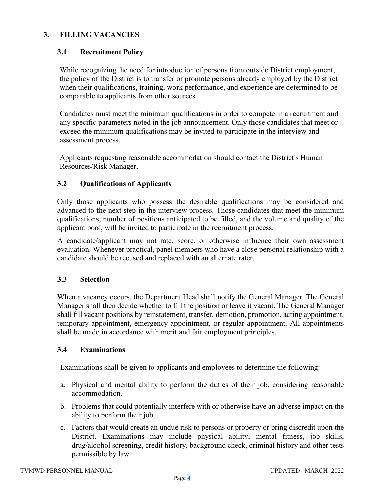## <span id="page-9-0"></span>**3. FILLING VACANCIES**

#### <span id="page-9-1"></span>**3.1 Recruitment Policy**

While recognizing the need for introduction of persons from outside District employment, the policy of the District is to transfer or promote persons already employed by the District when their qualifications, training, work performance, and experience are determined to be comparable to applicants from other sources.

Candidates must meet the minimum qualifications in order to compete in a recruitment and any specific parameters noted in the job announcement. Only those candidates that meet or exceed the minimum qualifications may be invited to participate in the interview and assessment process.

Applicants requesting reasonable accommodation should contact the District's Human Resources/Risk Manager.

#### <span id="page-9-2"></span>**3.2 Qualifications of Applicants**

Only those applicants who possess the desirable qualifications may be considered and advanced to the next step in the interview process. Those candidates that meet the minimum qualifications, number of positions anticipated to be filled, and the volume and quality of the applicant pool, will be invited to participate in the recruitment process.

A candidate/applicant may not rate, score, or otherwise influence their own assessment evaluation. Whenever practical, panel members who have a close personal relationship with a candidate should be recused and replaced with an alternate rater.

#### <span id="page-9-3"></span>**3.3 Selection**

When a vacancy occurs, the Department Head shall notify the General Manager. The General Manager shall then decide whether to fill the position or leave it vacant. The General Manager shall fill vacant positions by reinstatement, transfer, demotion, promotion, acting appointment, temporary appointment, emergency appointment, or regular appointment. All appointments shall be made in accordance with merit and fair employment principles.

#### <span id="page-9-4"></span>**3.4 Examinations**

Examinations shall be given to applicants and employees to determine the following:

- a. Physical and mental ability to perform the duties of their job, considering reasonable accommodation.
- b. Problems that could potentially interfere with or otherwise have an adverse impact on the ability to perform their job.
- c. Factors that would create an undue risk to persons or property or bring discredit upon the District. Examinations may include physical ability, mental fitness, job skills, drug/alcohol screening, credit history, background check, criminal history and other tests permissible by law.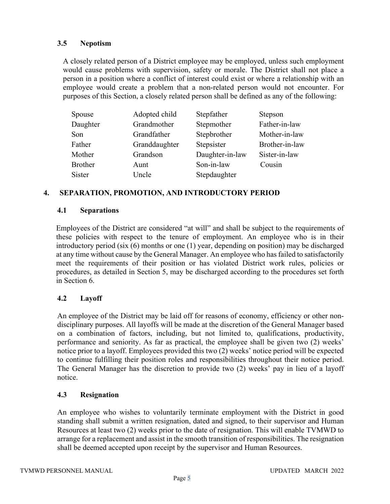## <span id="page-10-0"></span>**3.5 Nepotism**

A closely related person of a District employee may be employed, unless such employment would cause problems with supervision, safety or morale. The District shall not place a person in a position where a conflict of interest could exist or where a relationship with an employee would create a problem that a non-related person would not encounter. For purposes of this Section, a closely related person shall be defined as any of the following:

| Spouse         | Adopted child | Stepfather      | Stepson        |
|----------------|---------------|-----------------|----------------|
| Daughter       | Grandmother   | Stepmother      | Father-in-law  |
| Son            | Grandfather   | Stepbrother     | Mother-in-law  |
| Father         | Granddaughter | Stepsister      | Brother-in-law |
| Mother         | Grandson      | Daughter-in-law | Sister-in-law  |
| <b>Brother</b> | Aunt          | Son-in-law      | Cousin         |
| Sister         | Uncle         | Stepdaughter    |                |

## <span id="page-10-1"></span>**4. SEPARATION, PROMOTION, AND INTRODUCTORY PERIOD**

#### <span id="page-10-2"></span>**4.1 Separations**

Employees of the District are considered "at will" and shall be subject to the requirements of these policies with respect to the tenure of employment. An employee who is in their introductory period (six (6) months or one (1) year, depending on position) may be discharged at any time without cause by the General Manager. An employee who has failed to satisfactorily meet the requirements of their position or has violated District work rules, policies or procedures, as detailed in Section 5, may be discharged according to the procedures set forth in Section 6.

# <span id="page-10-3"></span>**4.2 Layoff**

An employee of the District may be laid off for reasons of economy, efficiency or other nondisciplinary purposes. All layoffs will be made at the discretion of the General Manager based on a combination of factors, including, but not limited to, qualifications, productivity, performance and seniority. As far as practical, the employee shall be given two (2) weeks' notice prior to a layoff. Employees provided this two (2) weeks' notice period will be expected to continue fulfilling their position roles and responsibilities throughout their notice period. The General Manager has the discretion to provide two (2) weeks' pay in lieu of a layoff notice.

#### <span id="page-10-4"></span>**4.3 Resignation**

An employee who wishes to voluntarily terminate employment with the District in good standing shall submit a written resignation, dated and signed, to their supervisor and Human Resources at least two (2) weeks prior to the date of resignation. This will enable TVMWD to arrange for a replacement and assist in the smooth transition of responsibilities. The resignation shall be deemed accepted upon receipt by the supervisor and Human Resources.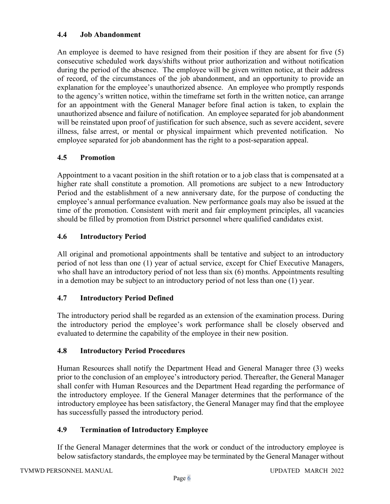#### <span id="page-11-0"></span>**4.4 Job Abandonment**

An employee is deemed to have resigned from their position if they are absent for five (5) consecutive scheduled work days/shifts without prior authorization and without notification during the period of the absence. The employee will be given written notice, at their address of record, of the circumstances of the job abandonment, and an opportunity to provide an explanation for the employee's unauthorized absence. An employee who promptly responds to the agency's written notice, within the timeframe set forth in the written notice, can arrange for an appointment with the General Manager before final action is taken, to explain the unauthorized absence and failure of notification. An employee separated for job abandonment will be reinstated upon proof of justification for such absence, such as severe accident, severe illness, false arrest, or mental or physical impairment which prevented notification. No employee separated for job abandonment has the right to a post-separation appeal.

## <span id="page-11-1"></span>**4.5 Promotion**

Appointment to a vacant position in the shift rotation or to a job class that is compensated at a higher rate shall constitute a promotion. All promotions are subject to a new Introductory Period and the establishment of a new anniversary date, for the purpose of conducting the employee's annual performance evaluation. New performance goals may also be issued at the time of the promotion. Consistent with merit and fair employment principles, all vacancies should be filled by promotion from District personnel where qualified candidates exist.

## <span id="page-11-2"></span>**4.6 Introductory Period**

All original and promotional appointments shall be tentative and subject to an introductory period of not less than one (1) year of actual service, except for Chief Executive Managers, who shall have an introductory period of not less than six (6) months. Appointments resulting in a demotion may be subject to an introductory period of not less than one (1) year.

#### <span id="page-11-3"></span>**4.7 Introductory Period Defined**

The introductory period shall be regarded as an extension of the examination process. During the introductory period the employee's work performance shall be closely observed and evaluated to determine the capability of the employee in their new position.

#### <span id="page-11-4"></span>**4.8 Introductory Period Procedures**

Human Resources shall notify the Department Head and General Manager three (3) weeks prior to the conclusion of an employee's introductory period. Thereafter, the General Manager shall confer with Human Resources and the Department Head regarding the performance of the introductory employee. If the General Manager determines that the performance of the introductory employee has been satisfactory, the General Manager may find that the employee has successfully passed the introductory period.

#### <span id="page-11-5"></span>**4.9 Termination of Introductory Employee**

If the General Manager determines that the work or conduct of the introductory employee is below satisfactory standards, the employee may be terminated by the General Manager without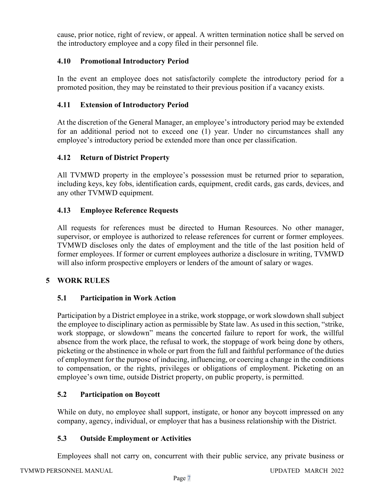cause, prior notice, right of review, or appeal. A written termination notice shall be served on the introductory employee and a copy filed in their personnel file.

# <span id="page-12-0"></span>**4.10 Promotional Introductory Period**

In the event an employee does not satisfactorily complete the introductory period for a promoted position, they may be reinstated to their previous position if a vacancy exists.

## <span id="page-12-1"></span>**4.11 Extension of Introductory Period**

At the discretion of the General Manager, an employee's introductory period may be extended for an additional period not to exceed one (1) year. Under no circumstances shall any employee's introductory period be extended more than once per classification.

## <span id="page-12-2"></span>**4.12 Return of District Property**

All TVMWD property in the employee's possession must be returned prior to separation, including keys, key fobs, identification cards, equipment, credit cards, gas cards, devices, and any other TVMWD equipment.

#### <span id="page-12-3"></span>**4.13 Employee Reference Requests**

All requests for references must be directed to Human Resources. No other manager, supervisor, or employee is authorized to release references for current or former employees. TVMWD discloses only the dates of employment and the title of the last position held of former employees. If former or current employees authorize a disclosure in writing, TVMWD will also inform prospective employers or lenders of the amount of salary or wages.

#### <span id="page-12-4"></span>**5 WORK RULES**

#### <span id="page-12-5"></span>**5.1 Participation in Work Action**

Participation by a District employee in a strike, work stoppage, or work slowdown shall subject the employee to disciplinary action as permissible by State law. As used in this section, "strike, work stoppage, or slowdown" means the concerted failure to report for work, the willful absence from the work place, the refusal to work, the stoppage of work being done by others, picketing or the abstinence in whole or part from the full and faithful performance of the duties of employment for the purpose of inducing, influencing, or coercing a change in the conditions to compensation, or the rights, privileges or obligations of employment. Picketing on an employee's own time, outside District property, on public property, is permitted.

#### <span id="page-12-6"></span>**5.2 Participation on Boycott**

While on duty, no employee shall support, instigate, or honor any boycott impressed on any company, agency, individual, or employer that has a business relationship with the District.

#### <span id="page-12-7"></span>**5.3 Outside Employment or Activities**

Employees shall not carry on, concurrent with their public service, any private business or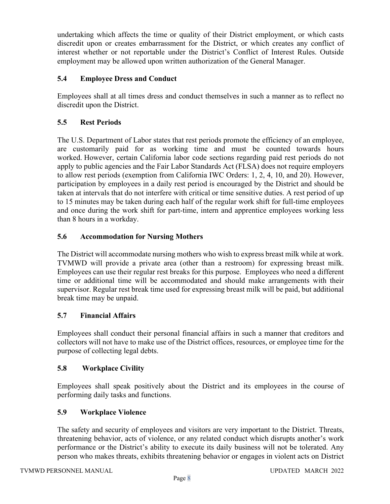undertaking which affects the time or quality of their District employment, or which casts discredit upon or creates embarrassment for the District, or which creates any conflict of interest whether or not reportable under the District's Conflict of Interest Rules. Outside employment may be allowed upon written authorization of the General Manager.

# <span id="page-13-0"></span>**5.4 Employee Dress and Conduct**

Employees shall at all times dress and conduct themselves in such a manner as to reflect no discredit upon the District.

# <span id="page-13-1"></span>**5.5 Rest Periods**

The U.S. Department of Labor states that rest periods promote the efficiency of an employee, are customarily paid for as working time and must be counted towards hours worked. However, certain California labor code sections regarding paid rest periods do not apply to public agencies and the Fair Labor Standards Act (FLSA) does not require employers to allow rest periods (exemption from California IWC Orders: 1, 2, 4, 10, and 20). However, participation by employees in a daily rest period is encouraged by the District and should be taken at intervals that do not interfere with critical or time sensitive duties. A rest period of up to 15 minutes may be taken during each half of the regular work shift for full-time employees and once during the work shift for part-time, intern and apprentice employees working less than 8 hours in a workday.

## <span id="page-13-2"></span>**5.6 Accommodation for Nursing Mothers**

The District will accommodate nursing mothers who wish to express breast milk while at work. TVMWD will provide a private area (other than a restroom) for expressing breast milk. Employees can use their regular rest breaks for this purpose. Employees who need a different time or additional time will be accommodated and should make arrangements with their supervisor. Regular rest break time used for expressing breast milk will be paid, but additional break time may be unpaid.

#### <span id="page-13-3"></span>**5.7 Financial Affairs**

Employees shall conduct their personal financial affairs in such a manner that creditors and collectors will not have to make use of the District offices, resources, or employee time for the purpose of collecting legal debts.

#### <span id="page-13-4"></span>**5.8 Workplace Civility**

Employees shall speak positively about the District and its employees in the course of performing daily tasks and functions.

#### <span id="page-13-5"></span>**5.9 Workplace Violence**

The safety and security of employees and visitors are very important to the District. Threats, threatening behavior, acts of violence, or any related conduct which disrupts another's work performance or the District's ability to execute its daily business will not be tolerated. Any person who makes threats, exhibits threatening behavior or engages in violent acts on District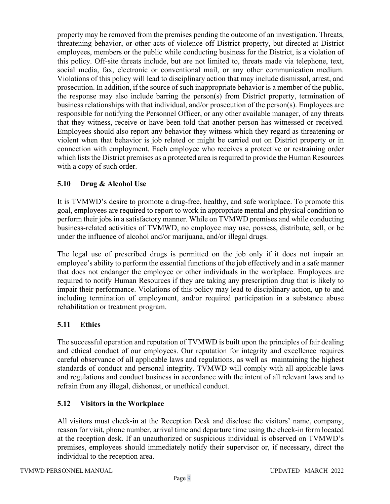property may be removed from the premises pending the outcome of an investigation. Threats, threatening behavior, or other acts of violence off District property, but directed at District employees, members or the public while conducting business for the District, is a violation of this policy. Off-site threats include, but are not limited to, threats made via telephone, text, social media, fax, electronic or conventional mail, or any other communication medium. Violations of this policy will lead to disciplinary action that may include dismissal, arrest, and prosecution. In addition, if the source of such inappropriate behavior is a member of the public, the response may also include barring the person(s) from District property, termination of business relationships with that individual, and/or prosecution of the person(s). Employees are responsible for notifying the Personnel Officer, or any other available manager, of any threats that they witness, receive or have been told that another person has witnessed or received. Employees should also report any behavior they witness which they regard as threatening or violent when that behavior is job related or might be carried out on District property or in connection with employment. Each employee who receives a protective or restraining order which lists the District premises as a protected area is required to provide the Human Resources with a copy of such order.

# <span id="page-14-0"></span>**5.10 Drug & Alcohol Use**

It is TVMWD's desire to promote a drug-free, healthy, and safe workplace. To promote this goal, employees are required to report to work in appropriate mental and physical condition to perform their jobs in a satisfactory manner. While on TVMWD premises and while conducting business-related activities of TVMWD, no employee may use, possess, distribute, sell, or be under the influence of alcohol and/or marijuana, and/or illegal drugs.

The legal use of prescribed drugs is permitted on the job only if it does not impair an employee's ability to perform the essential functions of the job effectively and in a safe manner that does not endanger the employee or other individuals in the workplace. Employees are required to notify Human Resources if they are taking any prescription drug that is likely to impair their performance. Violations of this policy may lead to disciplinary action, up to and including termination of employment, and/or required participation in a substance abuse rehabilitation or treatment program.

#### <span id="page-14-1"></span>**5.11 Ethics**

The successful operation and reputation of TVMWD is built upon the principles of fair dealing and ethical conduct of our employees. Our reputation for integrity and excellence requires careful observance of all applicable laws and regulations, as well as maintaining the highest standards of conduct and personal integrity. TVMWD will comply with all applicable laws and regulations and conduct business in accordance with the intent of all relevant laws and to refrain from any illegal, dishonest, or unethical conduct.

# <span id="page-14-2"></span>**5.12 Visitors in the Workplace**

All visitors must check-in at the Reception Desk and disclose the visitors' name, company, reason for visit, phone number, arrival time and departure time using the check-in form located at the reception desk. If an unauthorized or suspicious individual is observed on TVMWD's premises, employees should immediately notify their supervisor or, if necessary, direct the individual to the reception area.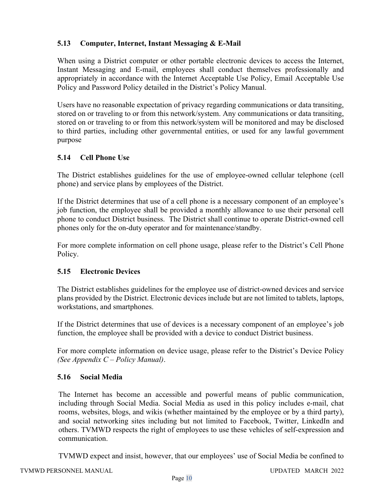# <span id="page-15-0"></span>**5.13 Computer, Internet, Instant Messaging & E-Mail**

When using a District computer or other portable electronic devices to access the Internet, Instant Messaging and E-mail, employees shall conduct themselves professionally and appropriately in accordance with the Internet Acceptable Use Policy, Email Acceptable Use Policy and Password Policy detailed in the District's Policy Manual.

Users have no reasonable expectation of privacy regarding communications or data transiting, stored on or traveling to or from this network/system. Any communications or data transiting, stored on or traveling to or from this network/system will be monitored and may be disclosed to third parties, including other governmental entities, or used for any lawful government purpose

## <span id="page-15-1"></span>**5.14 Cell Phone Use**

The District establishes guidelines for the use of employee-owned cellular telephone (cell phone) and service plans by employees of the District.

If the District determines that use of a cell phone is a necessary component of an employee's job function, the employee shall be provided a monthly allowance to use their personal cell phone to conduct District business. The District shall continue to operate District-owned cell phones only for the on-duty operator and for maintenance/standby.

For more complete information on cell phone usage, please refer to the District's Cell Phone Policy.

#### <span id="page-15-2"></span>**5.15 Electronic Devices**

The District establishes guidelines for the employee use of district-owned devices and service plans provided by the District. Electronic devices include but are not limited to tablets, laptops, workstations, and smartphones.

If the District determines that use of devices is a necessary component of an employee's job function, the employee shall be provided with a device to conduct District business.

For more complete information on device usage, please refer to the District's Device Policy *(See Appendix C – Policy Manual)*.

#### <span id="page-15-3"></span>**5.16 Social Media**

The Internet has become an accessible and powerful means of public communication, including through Social Media. Social Media as used in this policy includes e-mail, chat rooms, websites, blogs, and wikis (whether maintained by the employee or by a third party), and social networking sites including but not limited to Facebook, Twitter, LinkedIn and others. TVMWD respects the right of employees to use these vehicles of self-expression and communication.

TVMWD expect and insist, however, that our employees' use of Social Media be confined to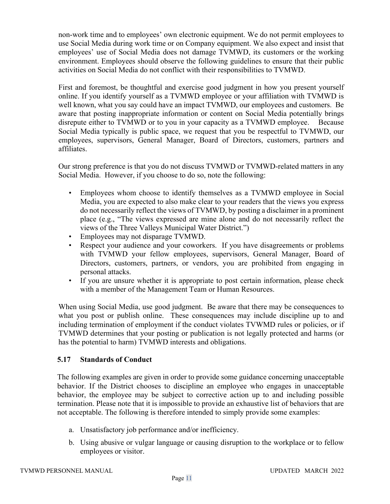non-work time and to employees' own electronic equipment. We do not permit employees to use Social Media during work time or on Company equipment. We also expect and insist that employees' use of Social Media does not damage TVMWD, its customers or the working environment. Employees should observe the following guidelines to ensure that their public activities on Social Media do not conflict with their responsibilities to TVMWD.

First and foremost, be thoughtful and exercise good judgment in how you present yourself online. If you identify yourself as a TVMWD employee or your affiliation with TVMWD is well known, what you say could have an impact TVMWD, our employees and customers. Be aware that posting inappropriate information or content on Social Media potentially brings disrepute either to TVMWD or to you in your capacity as a TVMWD employee. Because Social Media typically is public space, we request that you be respectful to TVMWD, our employees, supervisors, General Manager, Board of Directors, customers, partners and affiliates.

Our strong preference is that you do not discuss TVMWD or TVMWD-related matters in any Social Media. However, if you choose to do so, note the following:

- Employees whom choose to identify themselves as a TVMWD employee in Social Media, you are expected to also make clear to your readers that the views you express do not necessarily reflect the views of TVMWD, by posting a disclaimer in a prominent place (e.g., "The views expressed are mine alone and do not necessarily reflect the views of the Three Valleys Municipal Water District.")
- Employees may not disparage TVMWD.
- Respect your audience and your coworkers. If you have disagreements or problems with TVMWD your fellow employees, supervisors, General Manager, Board of Directors, customers, partners, or vendors, you are prohibited from engaging in personal attacks.
- If you are unsure whether it is appropriate to post certain information, please check with a member of the Management Team or Human Resources.

When using Social Media, use good judgment. Be aware that there may be consequences to what you post or publish online. These consequences may include discipline up to and including termination of employment if the conduct violates TVWMD rules or policies, or if TVMWD determines that your posting or publication is not legally protected and harms (or has the potential to harm) TVMWD interests and obligations.

#### <span id="page-16-0"></span>**5.17 Standards of Conduct**

The following examples are given in order to provide some guidance concerning unacceptable behavior. If the District chooses to discipline an employee who engages in unacceptable behavior, the employee may be subject to corrective action up to and including possible termination. Please note that it is impossible to provide an exhaustive list of behaviors that are not acceptable. The following is therefore intended to simply provide some examples:

- a. Unsatisfactory job performance and/or inefficiency.
- b. Using abusive or vulgar language or causing disruption to the workplace or to fellow employees or visitor.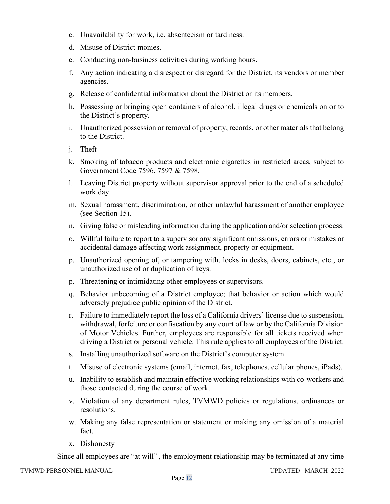- c. Unavailability for work, i.e. absenteeism or tardiness.
- d. Misuse of District monies.
- e. Conducting non-business activities during working hours.
- f. Any action indicating a disrespect or disregard for the District, its vendors or member agencies.
- g. Release of confidential information about the District or its members.
- h. Possessing or bringing open containers of alcohol, illegal drugs or chemicals on or to the District's property.
- i. Unauthorized possession or removal of property, records, or other materials that belong to the District.
- j. Theft
- k. Smoking of tobacco products and electronic cigarettes in restricted areas, subject to Government Code 7596, 7597 & 7598.
- l. Leaving District property without supervisor approval prior to the end of a scheduled work day.
- m. Sexual harassment, discrimination, or other unlawful harassment of another employee (see Section 15).
- n. Giving false or misleading information during the application and/or selection process.
- o. Willful failure to report to a supervisor any significant omissions, errors or mistakes or accidental damage affecting work assignment, property or equipment.
- p. Unauthorized opening of, or tampering with, locks in desks, doors, cabinets, etc., or unauthorized use of or duplication of keys.
- p. Threatening or intimidating other employees or supervisors.
- q. Behavior unbecoming of a District employee; that behavior or action which would adversely prejudice public opinion of the District.
- r. Failure to immediately report the loss of a California drivers' license due to suspension, withdrawal, forfeiture or confiscation by any court of law or by the California Division of Motor Vehicles. Further, employees are responsible for all tickets received when driving a District or personal vehicle. This rule applies to all employees of the District.
- s. Installing unauthorized software on the District's computer system.
- t. Misuse of electronic systems (email, internet, fax, telephones, cellular phones, iPads).
- u. Inability to establish and maintain effective working relationships with co-workers and those contacted during the course of work.
- v. Violation of any department rules, TVMWD policies or regulations, ordinances or resolutions.
- w. Making any false representation or statement or making any omission of a material fact.
- x. Dishonesty

Since all employees are "at will" , the employment relationship may be terminated at any time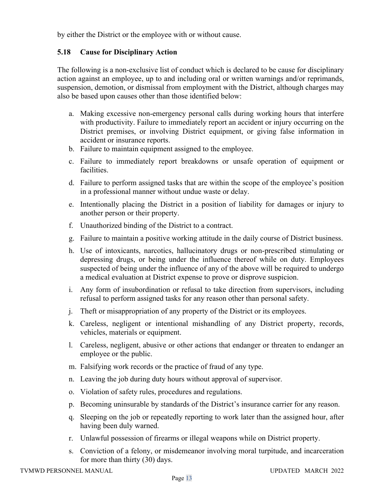by either the District or the employee with or without cause.

#### <span id="page-18-0"></span>**5.18 Cause for Disciplinary Action**

The following is a non-exclusive list of conduct which is declared to be cause for disciplinary action against an employee, up to and including oral or written warnings and/or reprimands, suspension, demotion, or dismissal from employment with the District, although charges may also be based upon causes other than those identified below:

- a. Making excessive non-emergency personal calls during working hours that interfere with productivity. Failure to immediately report an accident or injury occurring on the District premises, or involving District equipment, or giving false information in accident or insurance reports.
- b. Failure to maintain equipment assigned to the employee.
- c. Failure to immediately report breakdowns or unsafe operation of equipment or facilities.
- d. Failure to perform assigned tasks that are within the scope of the employee's position in a professional manner without undue waste or delay.
- e. Intentionally placing the District in a position of liability for damages or injury to another person or their property.
- f. Unauthorized binding of the District to a contract.
- g. Failure to maintain a positive working attitude in the daily course of District business.
- h. Use of intoxicants, narcotics, hallucinatory drugs or non-prescribed stimulating or depressing drugs, or being under the influence thereof while on duty. Employees suspected of being under the influence of any of the above will be required to undergo a medical evaluation at District expense to prove or disprove suspicion.
- i. Any form of insubordination or refusal to take direction from supervisors, including refusal to perform assigned tasks for any reason other than personal safety.
- j. Theft or misappropriation of any property of the District or its employees.
- k. Careless, negligent or intentional mishandling of any District property, records, vehicles, materials or equipment.
- l. Careless, negligent, abusive or other actions that endanger or threaten to endanger an employee or the public.
- m. Falsifying work records or the practice of fraud of any type.
- n. Leaving the job during duty hours without approval of supervisor.
- o. Violation of safety rules, procedures and regulations.
- p. Becoming uninsurable by standards of the District's insurance carrier for any reason.
- q. Sleeping on the job or repeatedly reporting to work later than the assigned hour, after having been duly warned.
- r. Unlawful possession of firearms or illegal weapons while on District property.
- s. Conviction of a felony, or misdemeanor involving moral turpitude, and incarceration for more than thirty (30) days.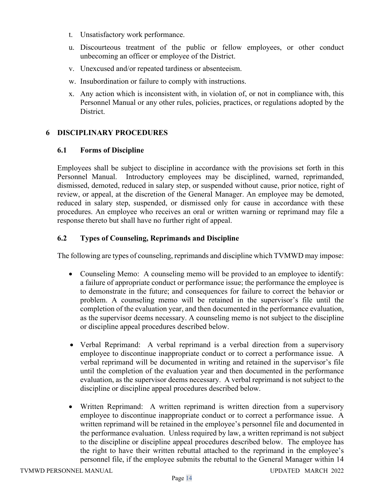- t. Unsatisfactory work performance.
- u. Discourteous treatment of the public or fellow employees, or other conduct unbecoming an officer or employee of the District.
- v. Unexcused and/or repeated tardiness or absenteeism.
- w. Insubordination or failure to comply with instructions.
- x. Any action which is inconsistent with, in violation of, or not in compliance with, this Personnel Manual or any other rules, policies, practices, or regulations adopted by the District.

#### <span id="page-19-0"></span>**6 DISCIPLINARY PROCEDURES**

#### <span id="page-19-1"></span>**6.1 Forms of Discipline**

Employees shall be subject to discipline in accordance with the provisions set forth in this Personnel Manual. Introductory employees may be disciplined, warned, reprimanded, dismissed, demoted, reduced in salary step, or suspended without cause, prior notice, right of review, or appeal, at the discretion of the General Manager. An employee may be demoted, reduced in salary step, suspended, or dismissed only for cause in accordance with these procedures. An employee who receives an oral or written warning or reprimand may file a response thereto but shall have no further right of appeal.

#### <span id="page-19-2"></span>**6.2 Types of Counseling, Reprimands and Discipline**

The following are types of counseling, reprimands and discipline which TVMWD may impose:

- Counseling Memo: A counseling memo will be provided to an employee to identify: a failure of appropriate conduct or performance issue; the performance the employee is to demonstrate in the future; and consequences for failure to correct the behavior or problem. A counseling memo will be retained in the supervisor's file until the completion of the evaluation year, and then documented in the performance evaluation, as the supervisor deems necessary. A counseling memo is not subject to the discipline or discipline appeal procedures described below.
- Verbal Reprimand: A verbal reprimand is a verbal direction from a supervisory employee to discontinue inappropriate conduct or to correct a performance issue. A verbal reprimand will be documented in writing and retained in the supervisor's file until the completion of the evaluation year and then documented in the performance evaluation, as the supervisor deems necessary. A verbal reprimand is not subject to the discipline or discipline appeal procedures described below.
- Written Reprimand: A written reprimand is written direction from a supervisory employee to discontinue inappropriate conduct or to correct a performance issue. A written reprimand will be retained in the employee's personnel file and documented in the performance evaluation. Unless required by law, a written reprimand is not subject to the discipline or discipline appeal procedures described below. The employee has the right to have their written rebuttal attached to the reprimand in the employee's personnel file, if the employee submits the rebuttal to the General Manager within 14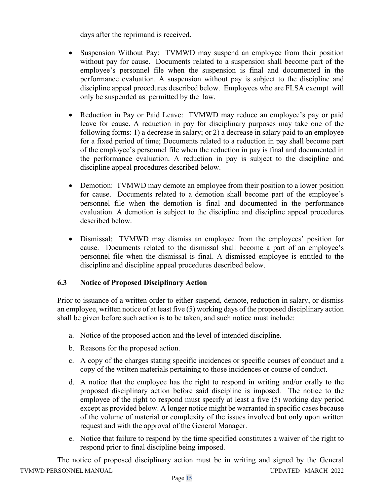days after the reprimand is received.

- Suspension Without Pay: TVMWD may suspend an employee from their position without pay for cause. Documents related to a suspension shall become part of the employee's personnel file when the suspension is final and documented in the performance evaluation. A suspension without pay is subject to the discipline and discipline appeal procedures described below. Employees who are FLSA exempt will only be suspended as permitted by the law.
- Reduction in Pay or Paid Leave: TVMWD may reduce an employee's pay or paid leave for cause. A reduction in pay for disciplinary purposes may take one of the following forms: 1) a decrease in salary; or 2) a decrease in salary paid to an employee for a fixed period of time; Documents related to a reduction in pay shall become part of the employee's personnel file when the reduction in pay is final and documented in the performance evaluation. A reduction in pay is subject to the discipline and discipline appeal procedures described below.
- Demotion: TVMWD may demote an employee from their position to a lower position for cause. Documents related to a demotion shall become part of the employee's personnel file when the demotion is final and documented in the performance evaluation. A demotion is subject to the discipline and discipline appeal procedures described below.
- Dismissal: TVMWD may dismiss an employee from the employees' position for cause. Documents related to the dismissal shall become a part of an employee's personnel file when the dismissal is final. A dismissed employee is entitled to the discipline and discipline appeal procedures described below.

#### <span id="page-20-0"></span>**6.3 Notice of Proposed Disciplinary Action**

Prior to issuance of a written order to either suspend, demote, reduction in salary, or dismiss an employee, written notice of at least five (5) working days of the proposed disciplinary action shall be given before such action is to be taken, and such notice must include:

- a. Notice of the proposed action and the level of intended discipline.
- b. Reasons for the proposed action.
- c. A copy of the charges stating specific incidences or specific courses of conduct and a copy of the written materials pertaining to those incidences or course of conduct.
- d. A notice that the employee has the right to respond in writing and/or orally to the proposed disciplinary action before said discipline is imposed. The notice to the employee of the right to respond must specify at least a five (5) working day period except as provided below. A longer notice might be warranted in specific cases because of the volume of material or complexity of the issues involved but only upon written request and with the approval of the General Manager.
- e. Notice that failure to respond by the time specified constitutes a waiver of the right to respond prior to final discipline being imposed.

TVMWD PERSONNEL MANUAL **TVMWD PERSONNEL MANUAL** The notice of proposed disciplinary action must be in writing and signed by the General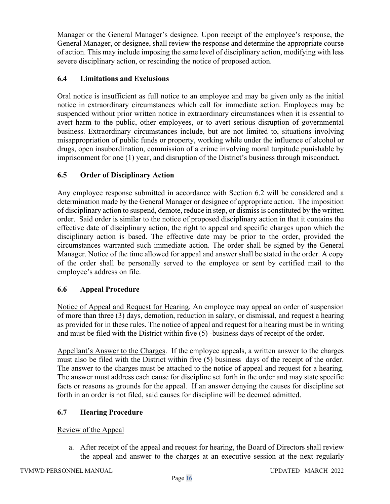Manager or the General Manager's designee. Upon receipt of the employee's response, the General Manager, or designee, shall review the response and determine the appropriate course of action. This may include imposing the same level of disciplinary action, modifying with less severe disciplinary action, or rescinding the notice of proposed action.

# <span id="page-21-0"></span>**6.4 Limitations and Exclusions**

Oral notice is insufficient as full notice to an employee and may be given only as the initial notice in extraordinary circumstances which call for immediate action. Employees may be suspended without prior written notice in extraordinary circumstances when it is essential to avert harm to the public, other employees, or to avert serious disruption of governmental business. Extraordinary circumstances include, but are not limited to, situations involving misappropriation of public funds or property, working while under the influence of alcohol or drugs, open insubordination, commission of a crime involving moral turpitude punishable by imprisonment for one (1) year, and disruption of the District's business through misconduct.

## <span id="page-21-1"></span>**6.5 Order of Disciplinary Action**

Any employee response submitted in accordance with Section 6.2 will be considered and a determination made by the General Manager or designee of appropriate action. The imposition of disciplinary action to suspend, demote, reduce in step, or dismiss is constituted by the written order. Said order is similar to the notice of proposed disciplinary action in that it contains the effective date of disciplinary action, the right to appeal and specific charges upon which the disciplinary action is based. The effective date may be prior to the order, provided the circumstances warranted such immediate action. The order shall be signed by the General Manager. Notice of the time allowed for appeal and answer shall be stated in the order. A copy of the order shall be personally served to the employee or sent by certified mail to the employee's address on file.

#### <span id="page-21-2"></span>**6.6 Appeal Procedure**

Notice of Appeal and Request for Hearing. An employee may appeal an order of suspension of more than three (3) days, demotion, reduction in salary, or dismissal, and request a hearing as provided for in these rules. The notice of appeal and request for a hearing must be in writing and must be filed with the District within five (5) -business days of receipt of the order.

Appellant's Answer to the Charges. If the employee appeals, a written answer to the charges must also be filed with the District within five (5) business days of the receipt of the order. The answer to the charges must be attached to the notice of appeal and request for a hearing. The answer must address each cause for discipline set forth in the order and may state specific facts or reasons as grounds for the appeal. If an answer denying the causes for discipline set forth in an order is not filed, said causes for discipline will be deemed admitted.

#### <span id="page-21-3"></span>**6.7 Hearing Procedure**

#### Review of the Appeal

a. After receipt of the appeal and request for hearing, the Board of Directors shall review the appeal and answer to the charges at an executive session at the next regularly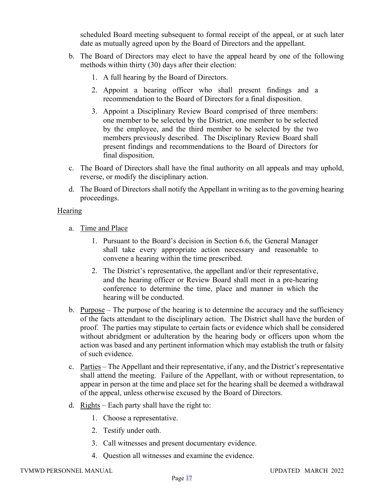scheduled Board meeting subsequent to formal receipt of the appeal, or at such later date as mutually agreed upon by the Board of Directors and the appellant.

- b. The Board of Directors may elect to have the appeal heard by one of the following methods within thirty (30) days after their election:
	- 1. A full hearing by the Board of Directors.
	- 2. Appoint a hearing officer who shall present findings and a recommendation to the Board of Directors for a final disposition.
	- 3. Appoint a Disciplinary Review Board comprised of three members: one member to be selected by the District, one member to be selected by the employee, and the third member to be selected by the two members previously described. The Disciplinary Review Board shall present findings and recommendations to the Board of Directors for final disposition.
- c. The Board of Directors shall have the final authority on all appeals and may uphold, reverse, or modify the disciplinary action.
- d. The Board of Directors shall notify the Appellant in writing as to the governing hearing proceedings.

#### Hearing

- a. Time and Place
	- 1. Pursuant to the Board's decision in Section 6.6, the General Manager shall take every appropriate action necessary and reasonable to convene a hearing within the time prescribed.
	- 2. The District's representative, the appellant and/or their representative, and the hearing officer or Review Board shall meet in a pre-hearing conference to determine the time, place and manner in which the hearing will be conducted.
- b. Purpose The purpose of the hearing is to determine the accuracy and the sufficiency of the facts attendant to the disciplinary action. The District shall have the burden of proof. The parties may stipulate to certain facts or evidence which shall be considered without abridgment or adulteration by the hearing body or officers upon whom the action was based and any pertinent information which may establish the truth or falsity of such evidence.
- c. Parties The Appellant and their representative, if any, and the District's representative shall attend the meeting. Failure of the Appellant, with or without representation, to appear in person at the time and place set for the hearing shall be deemed a withdrawal of the appeal, unless otherwise excused by the Board of Directors.
- d. Rights Each party shall have the right to:
	- 1. Choose a representative.
	- 2. Testify under oath.
	- 3. Call witnesses and present documentary evidence.
	- 4. Question all witnesses and examine the evidence.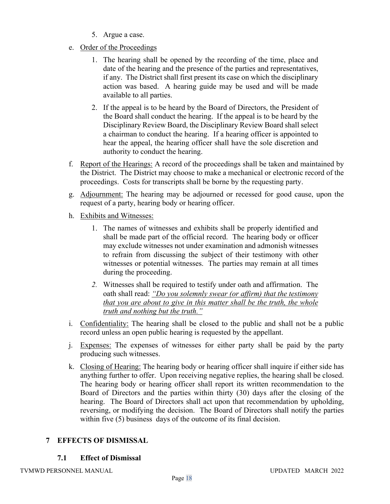- 5. Argue a case.
- e. Order of the Proceedings
	- 1. The hearing shall be opened by the recording of the time, place and date of the hearing and the presence of the parties and representatives, if any. The District shall first present its case on which the disciplinary action was based. A hearing guide may be used and will be made available to all parties.
	- 2. If the appeal is to be heard by the Board of Directors, the President of the Board shall conduct the hearing. If the appeal is to be heard by the Disciplinary Review Board, the Disciplinary Review Board shall select a chairman to conduct the hearing. If a hearing officer is appointed to hear the appeal, the hearing officer shall have the sole discretion and authority to conduct the hearing.
- f. Report of the Hearings: A record of the proceedings shall be taken and maintained by the District. The District may choose to make a mechanical or electronic record of the proceedings. Costs for transcripts shall be borne by the requesting party.
- g. Adjournment: The hearing may be adjourned or recessed for good cause, upon the request of a party, hearing body or hearing officer.
- h. Exhibits and Witnesses:
	- 1. The names of witnesses and exhibits shall be properly identified and shall be made part of the official record. The hearing body or officer may exclude witnesses not under examination and admonish witnesses to refrain from discussing the subject of their testimony with other witnesses or potential witnesses. The parties may remain at all times during the proceeding.
	- *2.* Witnesses shall be required to testify under oath and affirmation. The oath shall read: *"Do you solemnly swear (or affirm) that the testimony that you are about to give in this matter shall be the truth, the whole truth and nothing but the truth."*
- i. Confidentiality: The hearing shall be closed to the public and shall not be a public record unless an open public hearing is requested by the appellant.
- j. Expenses: The expenses of witnesses for either party shall be paid by the party producing such witnesses.
- k. Closing of Hearing: The hearing body or hearing officer shall inquire if either side has anything further to offer. Upon receiving negative replies, the hearing shall be closed. The hearing body or hearing officer shall report its written recommendation to the Board of Directors and the parties within thirty (30) days after the closing of the hearing. The Board of Directors shall act upon that recommendation by upholding, reversing, or modifying the decision. The Board of Directors shall notify the parties within five (5) business days of the outcome of its final decision.

# <span id="page-23-0"></span>**7 EFFECTS OF DISMISSAL**

# <span id="page-23-1"></span>**7.1 Effect of Dismissal**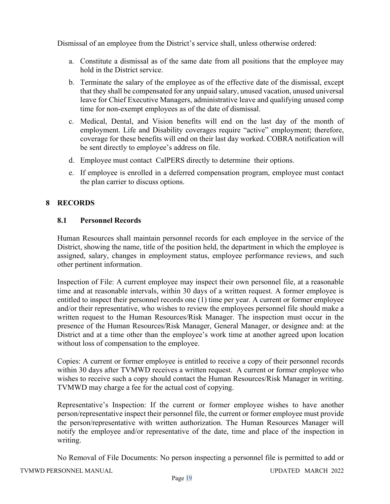Dismissal of an employee from the District's service shall, unless otherwise ordered:

- a. Constitute a dismissal as of the same date from all positions that the employee may hold in the District service.
- b. Terminate the salary of the employee as of the effective date of the dismissal, except that they shall be compensated for any unpaid salary, unused vacation, unused universal leave for Chief Executive Managers, administrative leave and qualifying unused comp time for non-exempt employees as of the date of dismissal.
- c. Medical, Dental, and Vision benefits will end on the last day of the month of employment. Life and Disability coverages require "active" employment; therefore, coverage for these benefits will end on their last day worked. COBRA notification will be sent directly to employee's address on file.
- d. Employee must contact CalPERS directly to determine their options.
- e. If employee is enrolled in a deferred compensation program, employee must contact the plan carrier to discuss options.

# <span id="page-24-0"></span>**8 RECORDS**

## <span id="page-24-1"></span>**8.1 Personnel Records**

Human Resources shall maintain personnel records for each employee in the service of the District, showing the name, title of the position held, the department in which the employee is assigned, salary, changes in employment status, employee performance reviews, and such other pertinent information.

Inspection of File: A current employee may inspect their own personnel file, at a reasonable time and at reasonable intervals, within 30 days of a written request. A former employee is entitled to inspect their personnel records one (1) time per year. A current or former employee and/or their representative, who wishes to review the employees personnel file should make a written request to the Human Resources/Risk Manager. The inspection must occur in the presence of the Human Resources/Risk Manager, General Manager, or designee and: at the District and at a time other than the employee's work time at another agreed upon location without loss of compensation to the employee.

Copies: A current or former employee is entitled to receive a copy of their personnel records within 30 days after TVMWD receives a written request. A current or former employee who wishes to receive such a copy should contact the Human Resources/Risk Manager in writing. TVMWD may charge a fee for the actual cost of copying.

Representative's Inspection: If the current or former employee wishes to have another person/representative inspect their personnel file, the current or former employee must provide the person/representative with written authorization. The Human Resources Manager will notify the employee and/or representative of the date, time and place of the inspection in writing.

No Removal of File Documents: No person inspecting a personnel file is permitted to add or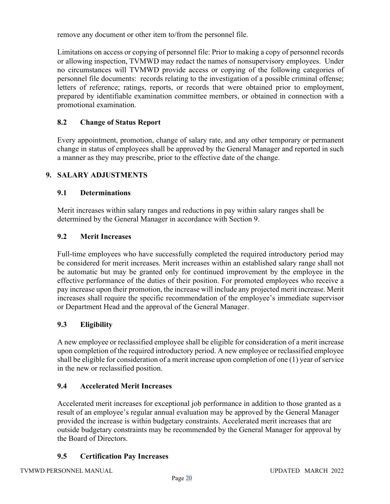remove any document or other item to/from the personnel file.

Limitations on access or copying of personnel file: Prior to making a copy of personnel records or allowing inspection, TVMWD may redact the names of nonsupervisory employees. Under no circumstances will TVMWD provide access or copying of the following categories of personnel file documents: records relating to the investigation of a possible criminal offense; letters of reference; ratings, reports, or records that were obtained prior to employment, prepared by identifiable examination committee members, or obtained in connection with a promotional examination.

# <span id="page-25-0"></span>**8.2 Change of Status Report**

Every appointment, promotion, change of salary rate, and any other temporary or permanent change in status of employees shall be approved by the General Manager and reported in such a manner as they may prescribe, prior to the effective date of the change.

## <span id="page-25-1"></span>**9. SALARY ADJUSTMENTS**

#### <span id="page-25-2"></span>**9.1 Determinations**

Merit increases within salary ranges and reductions in pay within salary ranges shall be determined by the General Manager in accordance with Section 9.

#### <span id="page-25-3"></span>**9.2 Merit Increases**

Full-time employees who have successfully completed the required introductory period may be considered for merit increases. Merit increases within an established salary range shall not be automatic but may be granted only for continued improvement by the employee in the effective performance of the duties of their position. For promoted employees who receive a pay increase upon their promotion, the increase will include any projected merit increase. Merit increases shall require the specific recommendation of the employee's immediate supervisor or Department Head and the approval of the General Manager.

#### <span id="page-25-4"></span>**9.3 Eligibility**

A new employee or reclassified employee shall be eligible for consideration of a merit increase upon completion of the required introductory period. A new employee or reclassified employee shall be eligible for consideration of a merit increase upon completion of one (1) year of service in the new or reclassified position.

#### <span id="page-25-5"></span>**9.4 Accelerated Merit Increases**

Accelerated merit increases for exceptional job performance in addition to those granted as a result of an employee's regular annual evaluation may be approved by the General Manager provided the increase is within budgetary constraints. Accelerated merit increases that are outside budgetary constraints may be recommended by the General Manager for approval by the Board of Directors.

#### <span id="page-25-6"></span>**9.5 Certification Pay Increases**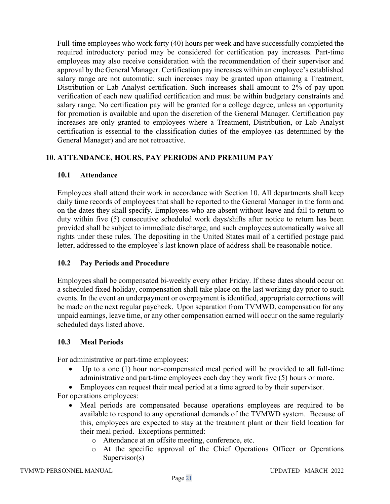Full-time employees who work forty (40) hours per week and have successfully completed the required introductory period may be considered for certification pay increases. Part-time employees may also receive consideration with the recommendation of their supervisor and approval by the General Manager. Certification pay increases within an employee's established salary range are not automatic; such increases may be granted upon attaining a Treatment, Distribution or Lab Analyst certification. Such increases shall amount to 2% of pay upon verification of each new qualified certification and must be within budgetary constraints and salary range. No certification pay will be granted for a college degree, unless an opportunity for promotion is available and upon the discretion of the General Manager. Certification pay increases are only granted to employees where a Treatment, Distribution, or Lab Analyst certification is essential to the classification duties of the employee (as determined by the General Manager) and are not retroactive.

## <span id="page-26-0"></span>**10. ATTENDANCE, HOURS, PAY PERIODS AND PREMIUM PAY**

#### <span id="page-26-1"></span>**10.1 Attendance**

Employees shall attend their work in accordance with Section 10. All departments shall keep daily time records of employees that shall be reported to the General Manager in the form and on the dates they shall specify. Employees who are absent without leave and fail to return to duty within five (5) consecutive scheduled work days/shifts after notice to return has been provided shall be subject to immediate discharge, and such employees automatically waive all rights under these rules. The depositing in the United States mail of a certified postage paid letter, addressed to the employee's last known place of address shall be reasonable notice.

#### <span id="page-26-2"></span>**10.2 Pay Periods and Procedure**

Employees shall be compensated bi-weekly every other Friday. If these dates should occur on a scheduled fixed holiday, compensation shall take place on the last working day prior to such events. In the event an underpayment or overpayment is identified, appropriate corrections will be made on the next regular paycheck. Upon separation from TVMWD, compensation for any unpaid earnings, leave time, or any other compensation earned will occur on the same regularly scheduled days listed above.

#### <span id="page-26-3"></span>**10.3 Meal Periods**

For administrative or part-time employees:

• Up to a one (1) hour non-compensated meal period will be provided to all full-time administrative and part-time employees each day they work five (5) hours or more.

• Employees can request their meal period at a time agreed to by their supervisor.

For operations employees:

- Meal periods are compensated because operations employees are required to be available to respond to any operational demands of the TVMWD system. Because of this, employees are expected to stay at the treatment plant or their field location for their meal period. Exceptions permitted:
	- o Attendance at an offsite meeting, conference, etc.
	- o At the specific approval of the Chief Operations Officer or Operations Supervisor(s)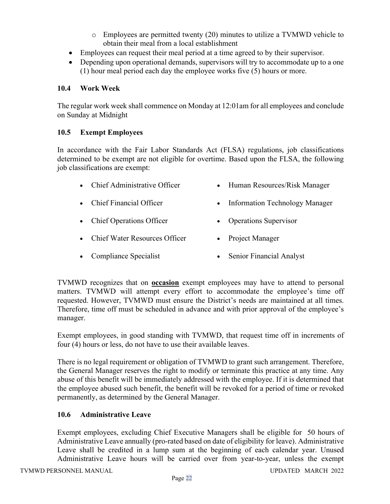- o Employees are permitted twenty (20) minutes to utilize a TVMWD vehicle to obtain their meal from a local establishment
- Employees can request their meal period at a time agreed to by their supervisor.
- Depending upon operational demands, supervisors will try to accommodate up to a one (1) hour meal period each day the employee works five (5) hours or more.

#### <span id="page-27-0"></span>**10.4 Work Week**

The regular work week shall commence on Monday at 12:01am for all employees and conclude on Sunday at Midnight

#### <span id="page-27-1"></span>**10.5 Exempt Employees**

In accordance with the Fair Labor Standards Act (FLSA) regulations, job classifications determined to be exempt are not eligible for overtime. Based upon the FLSA, the following job classifications are exempt:

- Chief Administrative Officer Human Resources/Risk Manager
- Chief Financial Officer Information Technology Manager
- Chief Operations Officer Operations Supervisor
- Chief Water Resources Officer Project Manager
- Compliance Specialist Senior Financial Analyst

TVMWD recognizes that on **occasion** exempt employees may have to attend to personal matters. TVMWD will attempt every effort to accommodate the employee's time off requested. However, TVMWD must ensure the District's needs are maintained at all times. Therefore, time off must be scheduled in advance and with prior approval of the employee's manager.

Exempt employees, in good standing with TVMWD, that request time off in increments of four (4) hours or less, do not have to use their available leaves.

There is no legal requirement or obligation of TVMWD to grant such arrangement. Therefore, the General Manager reserves the right to modify or terminate this practice at any time. Any abuse of this benefit will be immediately addressed with the employee. If it is determined that the employee abused such benefit, the benefit will be revoked for a period of time or revoked permanently, as determined by the General Manager.

#### <span id="page-27-2"></span>**10.6 Administrative Leave**

Exempt employees, excluding Chief Executive Managers shall be eligible for 50 hours of Administrative Leave annually (pro-rated based on date of eligibility for leave). Administrative Leave shall be credited in a lump sum at the beginning of each calendar year. Unused Administrative Leave hours will be carried over from year-to-year, unless the exempt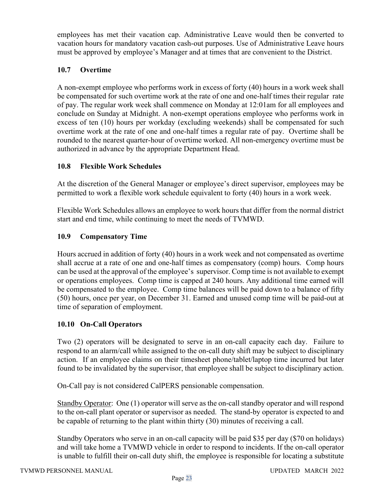employees has met their vacation cap. Administrative Leave would then be converted to vacation hours for mandatory vacation cash-out purposes. Use of Administrative Leave hours must be approved by employee's Manager and at times that are convenient to the District.

# <span id="page-28-0"></span>**10.7 Overtime**

A non-exempt employee who performs work in excess of forty (40) hours in a work week shall be compensated for such overtime work at the rate of one and one-half times their regular rate of pay. The regular work week shall commence on Monday at 12:01am for all employees and conclude on Sunday at Midnight. A non-exempt operations employee who performs work in excess of ten (10) hours per workday (excluding weekends) shall be compensated for such overtime work at the rate of one and one-half times a regular rate of pay. Overtime shall be rounded to the nearest quarter-hour of overtime worked. All non-emergency overtime must be authorized in advance by the appropriate Department Head.

#### <span id="page-28-1"></span>**10.8 Flexible Work Schedules**

At the discretion of the General Manager or employee's direct supervisor, employees may be permitted to work a flexible work schedule equivalent to forty (40) hours in a work week.

Flexible Work Schedules allows an employee to work hours that differ from the normal district start and end time, while continuing to meet the needs of TVMWD.

## <span id="page-28-2"></span>**10.9 Compensatory Time**

Hours accrued in addition of forty (40) hours in a work week and not compensated as overtime shall accrue at a rate of one and one-half times as compensatory (comp) hours. Comp hours can be used at the approval of the employee's supervisor. Comp time is not available to exempt or operations employees. Comp time is capped at 240 hours. Any additional time earned will be compensated to the employee. Comp time balances will be paid down to a balance of fifty (50) hours, once per year, on December 31. Earned and unused comp time will be paid-out at time of separation of employment.

#### <span id="page-28-3"></span>**10.10 On-Call Operators**

Two (2) operators will be designated to serve in an on-call capacity each day. Failure to respond to an alarm/call while assigned to the on-call duty shift may be subject to disciplinary action. If an employee claims on their timesheet phone/tablet/laptop time incurred but later found to be invalidated by the supervisor, that employee shall be subject to disciplinary action.

On-Call pay is not considered CalPERS pensionable compensation.

Standby Operator: One (1) operator will serve as the on-call standby operator and will respond to the on-call plant operator or supervisor as needed. The stand-by operator is expected to and be capable of returning to the plant within thirty (30) minutes of receiving a call.

Standby Operators who serve in an on-call capacity will be paid \$35 per day (\$70 on holidays) and will take home a TVMWD vehicle in order to respond to incidents. If the on-call operator is unable to fulfill their on-call duty shift, the employee is responsible for locating a substitute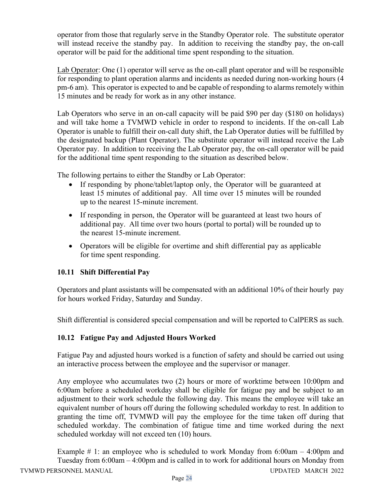operator from those that regularly serve in the Standby Operator role. The substitute operator will instead receive the standby pay. In addition to receiving the standby pay, the on-call operator will be paid for the additional time spent responding to the situation.

Lab Operator: One (1) operator will serve as the on-call plant operator and will be responsible for responding to plant operation alarms and incidents as needed during non-working hours (4 pm-6 am). This operator is expected to and be capable of responding to alarms remotely within 15 minutes and be ready for work as in any other instance.

Lab Operators who serve in an on-call capacity will be paid \$90 per day (\$180 on holidays) and will take home a TVMWD vehicle in order to respond to incidents. If the on-call Lab Operator is unable to fulfill their on-call duty shift, the Lab Operator duties will be fulfilled by the designated backup (Plant Operator). The substitute operator will instead receive the Lab Operator pay. In addition to receiving the Lab Operator pay, the on-call operator will be paid for the additional time spent responding to the situation as described below.

The following pertains to either the Standby or Lab Operator:

- If responding by phone/tablet/laptop only, the Operator will be guaranteed at least 15 minutes of additional pay. All time over 15 minutes will be rounded up to the nearest 15-minute increment.
- If responding in person, the Operator will be guaranteed at least two hours of additional pay. All time over two hours (portal to portal) will be rounded up to the nearest 15-minute increment.
- Operators will be eligible for overtime and shift differential pay as applicable for time spent responding.

# <span id="page-29-0"></span>**10.11 Shift Differential Pay**

Operators and plant assistants will be compensated with an additional 10% of their hourly pay for hours worked Friday, Saturday and Sunday.

Shift differential is considered special compensation and will be reported to CalPERS as such.

# <span id="page-29-1"></span>**10.12 Fatigue Pay and Adjusted Hours Worked**

Fatigue Pay and adjusted hours worked is a function of safety and should be carried out using an interactive process between the employee and the supervisor or manager.

Any employee who accumulates two (2) hours or more of worktime between 10:00pm and 6:00am before a scheduled workday shall be eligible for fatigue pay and be subject to an adjustment to their work schedule the following day. This means the employee will take an equivalent number of hours off during the following scheduled workday to rest. In addition to granting the time off, TVMWD will pay the employee for the time taken off during that scheduled workday. The combination of fatigue time and time worked during the next scheduled workday will not exceed ten (10) hours.

TVMWD PERSONNEL MANUAL **TVMWD PERSONNEL MANUAL** Example # 1: an employee who is scheduled to work Monday from  $6:00am - 4:00pm$  and Tuesday from 6:00am – 4:00pm and is called in to work for additional hours on Monday from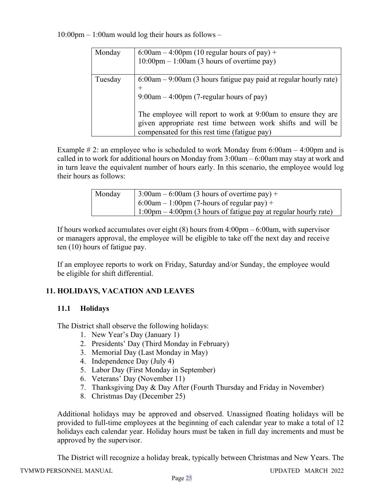$10:00 \text{pm} - 1:00 \text{am}$  would log their hours as follows –

| Monday  | $6:00$ am – 4:00pm (10 regular hours of pay) +<br>$10:00 \text{pm} - 1:00 \text{am}$ (3 hours of overtime pay)                                                               |
|---------|------------------------------------------------------------------------------------------------------------------------------------------------------------------------------|
| Tuesday | $6:00$ am – 9:00am (3 hours fatigue pay paid at regular hourly rate)<br>$9:00am - 4:00pm (7-regular hours of pay)$                                                           |
|         | The employee will report to work at 9:00am to ensure they are<br>given appropriate rest time between work shifts and will be<br>compensated for this rest time (fatigue pay) |

Example  $\#$  2: an employee who is scheduled to work Monday from 6:00am  $-$  4:00pm and is called in to work for additional hours on Monday from 3:00am – 6:00am may stay at work and in turn leave the equivalent number of hours early. In this scenario, the employee would log their hours as follows:

| Monday | $3:00$ am – 6:00am (3 hours of overtime pay) +                    |
|--------|-------------------------------------------------------------------|
|        | $+6:00$ am – 1:00pm (7-hours of regular pay) +                    |
|        | 1:00pm $-$ 4:00pm (3 hours of fatigue pay at regular hourly rate) |

If hours worked accumulates over eight (8) hours from 4:00pm – 6:00am, with supervisor or managers approval, the employee will be eligible to take off the next day and receive ten (10) hours of fatigue pay.

If an employee reports to work on Friday, Saturday and/or Sunday, the employee would be eligible for shift differential.

# <span id="page-30-0"></span>**11. HOLIDAYS, VACATION AND LEAVES**

#### <span id="page-30-1"></span>**11.1 Holidays**

The District shall observe the following holidays:

- 1. New Year's Day (January 1)
- 2. Presidents' Day (Third Monday in February)
- 3. Memorial Day (Last Monday in May)
- 4. Independence Day (July 4)
- 5. Labor Day (First Monday in September)
- 6. Veterans' Day (November 11)
- 7. Thanksgiving Day & Day After (Fourth Thursday and Friday in November)
- 8. Christmas Day (December 25)

Additional holidays may be approved and observed. Unassigned floating holidays will be provided to full-time employees at the beginning of each calendar year to make a total of 12 holidays each calendar year. Holiday hours must be taken in full day increments and must be approved by the supervisor.

The District will recognize a holiday break, typically between Christmas and New Years. The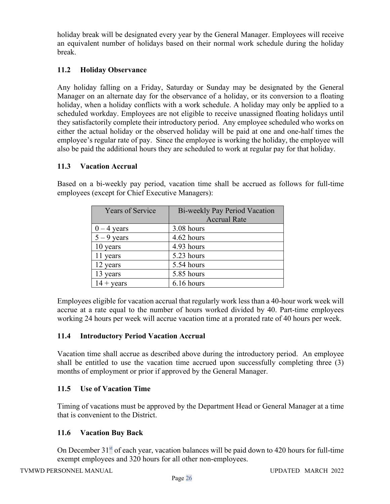holiday break will be designated every year by the General Manager. Employees will receive an equivalent number of holidays based on their normal work schedule during the holiday break.

# <span id="page-31-0"></span>**11.2 Holiday Observance**

Any holiday falling on a Friday, Saturday or Sunday may be designated by the General Manager on an alternate day for the observance of a holiday, or its conversion to a floating holiday, when a holiday conflicts with a work schedule. A holiday may only be applied to a scheduled workday. Employees are not eligible to receive unassigned floating holidays until they satisfactorily complete their introductory period. Any employee scheduled who works on either the actual holiday or the observed holiday will be paid at one and one-half times the employee's regular rate of pay. Since the employee is working the holiday, the employee will also be paid the additional hours they are scheduled to work at regular pay for that holiday.

#### <span id="page-31-1"></span>**11.3 Vacation Accrual**

| <b>Years of Service</b> | Bi-weekly Pay Period Vacation |
|-------------------------|-------------------------------|
|                         | <b>Accrual Rate</b>           |
| $0 - 4$ years           | 3.08 hours                    |
| $5 - 9$ years           | 4.62 hours                    |
| 10 years                | 4.93 hours                    |
| 11 years                | 5.23 hours                    |
| 12 years                | 5.54 hours                    |
| 13 years                | 5.85 hours                    |
| years<br>$14 + 1$       | 6.16 hours                    |

Based on a bi-weekly pay period, vacation time shall be accrued as follows for full-time employees (except for Chief Executive Managers):

Employees eligible for vacation accrual that regularly work less than a 40-hour work week will accrue at a rate equal to the number of hours worked divided by 40. Part-time employees working 24 hours per week will accrue vacation time at a prorated rate of 40 hours per week.

#### <span id="page-31-2"></span>**11.4 Introductory Period Vacation Accrual**

Vacation time shall accrue as described above during the introductory period. An employee shall be entitled to use the vacation time accrued upon successfully completing three (3) months of employment or prior if approved by the General Manager.

# <span id="page-31-3"></span>**11.5 Use of Vacation Time**

Timing of vacations must be approved by the Department Head or General Manager at a time that is convenient to the District.

#### <span id="page-31-4"></span>**11.6 Vacation Buy Back**

On December  $31<sup>st</sup>$  of each year, vacation balances will be paid down to 420 hours for full-time exempt employees and 320 hours for all other non-employees.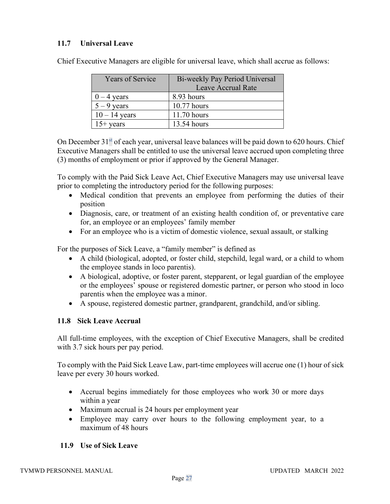# <span id="page-32-0"></span>**11.7 Universal Leave**

| <b>Years of Service</b> | Bi-weekly Pay Period Universal |  |
|-------------------------|--------------------------------|--|
|                         | Leave Accrual Rate             |  |
| $0 - 4$ years           | 8.93 hours                     |  |
| $5 - 9$ years           | $10.77$ hours                  |  |
| $10 - 14$ years         | $11.70$ hours                  |  |
| $15+$ years             | 13.54 hours                    |  |

Chief Executive Managers are eligible for universal leave, which shall accrue as follows:

On December  $31<sup>st</sup>$  of each year, universal leave balances will be paid down to 620 hours. Chief Executive Managers shall be entitled to use the universal leave accrued upon completing three (3) months of employment or prior if approved by the General Manager.

To comply with the Paid Sick Leave Act, Chief Executive Managers may use universal leave prior to completing the introductory period for the following purposes:

- Medical condition that prevents an employee from performing the duties of their position
- Diagnosis, care, or treatment of an existing health condition of, or preventative care for, an employee or an employees' family member
- For an employee who is a victim of domestic violence, sexual assault, or stalking

For the purposes of Sick Leave, a "family member" is defined as

- A child (biological, adopted, or foster child, stepchild, legal ward, or a child to whom the employee stands in loco parentis).
- A biological, adoptive, or foster parent, stepparent, or legal guardian of the employee or the employees' spouse or registered domestic partner, or person who stood in loco parentis when the employee was a minor.
- A spouse, registered domestic partner, grandparent, grandchild, and/or sibling.

#### <span id="page-32-1"></span>**11.8 Sick Leave Accrual**

All full-time employees, with the exception of Chief Executive Managers, shall be credited with 3.7 sick hours per pay period.

To comply with the Paid Sick Leave Law, part-time employees will accrue one (1) hour of sick leave per every 30 hours worked.

- Accrual begins immediately for those employees who work 30 or more days within a year
- Maximum accrual is 24 hours per employment year
- Employee may carry over hours to the following employment year, to a maximum of 48 hours

#### <span id="page-32-2"></span>**11.9 Use of Sick Leave**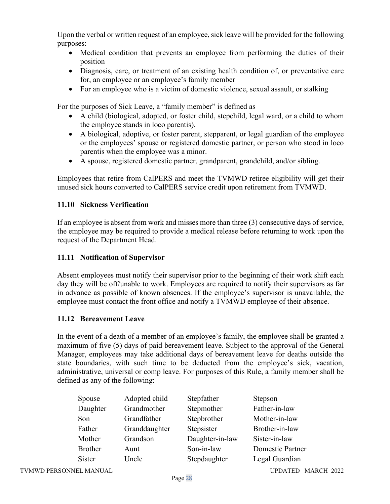Upon the verbal or written request of an employee, sick leave will be provided for the following purposes:

- Medical condition that prevents an employee from performing the duties of their position
- Diagnosis, care, or treatment of an existing health condition of, or preventative care for, an employee or an employee's family member
- For an employee who is a victim of domestic violence, sexual assault, or stalking

For the purposes of Sick Leave, a "family member" is defined as

- A child (biological, adopted, or foster child, stepchild, legal ward, or a child to whom the employee stands in loco parentis).
- A biological, adoptive, or foster parent, stepparent, or legal guardian of the employee or the employees' spouse or registered domestic partner, or person who stood in loco parentis when the employee was a minor.
- A spouse, registered domestic partner, grandparent, grandchild, and/or sibling.

Employees that retire from CalPERS and meet the TVMWD retiree eligibility will get their unused sick hours converted to CalPERS service credit upon retirement from TVMWD.

## <span id="page-33-0"></span>**11.10 Sickness Verification**

If an employee is absent from work and misses more than three (3) consecutive days of service, the employee may be required to provide a medical release before returning to work upon the request of the Department Head.

#### <span id="page-33-1"></span>**11.11 Notification of Supervisor**

Absent employees must notify their supervisor prior to the beginning of their work shift each day they will be off/unable to work. Employees are required to notify their supervisors as far in advance as possible of known absences. If the employee's supervisor is unavailable, the employee must contact the front office and notify a TVMWD employee of their absence.

#### <span id="page-33-2"></span>**11.12 Bereavement Leave**

In the event of a death of a member of an employee's family, the employee shall be granted a maximum of five (5) days of paid bereavement leave. Subject to the approval of the General Manager, employees may take additional days of bereavement leave for deaths outside the state boundaries, with such time to be deducted from the employee's sick, vacation, administrative, universal or comp leave. For purposes of this Rule, a family member shall be defined as any of the following:

| Spouse         | Adopted child | Stepfather      | Stepson          |
|----------------|---------------|-----------------|------------------|
| Daughter       | Grandmother   | Stepmother      | Father-in-law    |
| Son            | Grandfather   | Stepbrother     | Mother-in-law    |
| Father         | Granddaughter | Stepsister      | Brother-in-law   |
| Mother         | Grandson      | Daughter-in-law | Sister-in-law    |
| <b>Brother</b> | Aunt          | Son-in-law      | Domestic Partner |
| <b>Sister</b>  | Uncle         | Stepdaughter    | Legal Guardian   |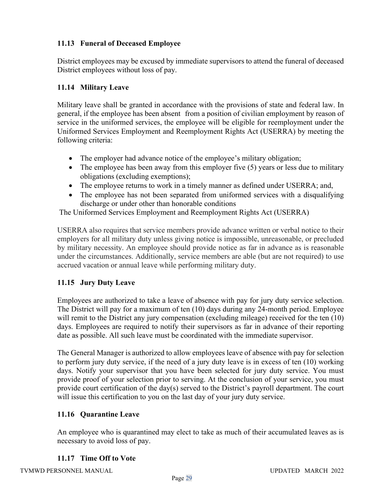# <span id="page-34-0"></span>**11.13 Funeral of Deceased Employee**

District employees may be excused by immediate supervisors to attend the funeral of deceased District employees without loss of pay.

## <span id="page-34-1"></span>**11.14 Military Leave**

Military leave shall be granted in accordance with the provisions of state and federal law. In general, if the employee has been absent from a position of civilian employment by reason of service in the uniformed services, the employee will be eligible for reemployment under the Uniformed Services Employment and Reemployment Rights Act (USERRA) by meeting the following criteria:

- The employer had advance notice of the employee's military obligation;
- The employee has been away from this employer five (5) years or less due to military obligations (excluding exemptions);
- The employee returns to work in a timely manner as defined under USERRA; and,
- The employee has not been separated from uniformed services with a disqualifying discharge or under other than honorable conditions

The Uniformed Services Employment and Reemployment Rights Act (USERRA)

USERRA also requires that service members provide advance written or verbal notice to their employers for all military duty unless giving notice is impossible, unreasonable, or precluded by military necessity. An employee should provide notice as far in advance as is reasonable under the circumstances. Additionally, service members are able (but are not required) to use accrued vacation or annual leave while performing military duty.

# <span id="page-34-2"></span>**11.15 Jury Duty Leave**

Employees are authorized to take a leave of absence with pay for jury duty service selection. The District will pay for a maximum of ten (10) days during any 24-month period. Employee will remit to the District any jury compensation (excluding mileage) received for the ten (10) days. Employees are required to notify their supervisors as far in advance of their reporting date as possible. All such leave must be coordinated with the immediate supervisor.

The General Manager is authorized to allow employees leave of absence with pay for selection to perform jury duty service, if the need of a jury duty leave is in excess of ten (10) working days. Notify your supervisor that you have been selected for jury duty service. You must provide proof of your selection prior to serving. At the conclusion of your service, you must provide court certification of the day(s) served to the District's payroll department. The court will issue this certification to you on the last day of your jury duty service.

# <span id="page-34-3"></span>**11.16 Quarantine Leave**

An employee who is quarantined may elect to take as much of their accumulated leaves as is necessary to avoid loss of pay.

# <span id="page-34-4"></span>**11.17 Time Off to Vote**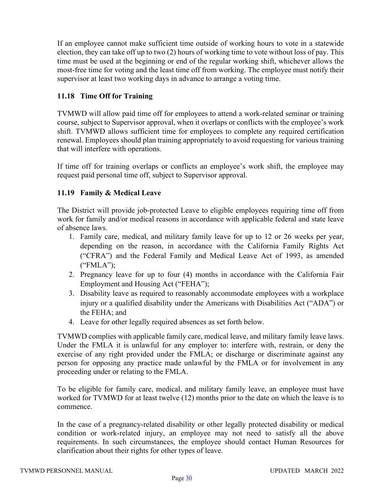If an employee cannot make sufficient time outside of working hours to vote in a statewide election, they can take off up to two (2) hours of working time to vote without loss of pay. This time must be used at the beginning or end of the regular working shift, whichever allows the most-free time for voting and the least time off from working. The employee must notify their supervisor at least two working days in advance to arrange a voting time.

# <span id="page-35-0"></span>**11.18 Time Off for Training**

TVMWD will allow paid time off for employees to attend a work-related seminar or training course, subject to Supervisor approval, when it overlaps or conflicts with the employee's work shift. TVMWD allows sufficient time for employees to complete any required certification renewal. Employees should plan training appropriately to avoid requesting for various training that will interfere with operations.

If time off for training overlaps or conflicts an employee's work shift, the employee may request paid personal time off, subject to Supervisor approval.

## <span id="page-35-1"></span>**11.19 Family & Medical Leave**

The District will provide job-protected Leave to eligible employees requiring time off from work for family and/or medical reasons in accordance with applicable federal and state leave of absence laws.

- 1. Family care, medical, and military family leave for up to 12 or 26 weeks per year, depending on the reason, in accordance with the California Family Rights Act ("CFRA") and the Federal Family and Medical Leave Act of 1993, as amended ("FMLA");
- 2. Pregnancy leave for up to four (4) months in accordance with the California Fair Employment and Housing Act ("FEHA");
- 3. Disability leave as required to reasonably accommodate employees with a workplace injury or a qualified disability under the Americans with Disabilities Act ("ADA") or the FEHA; and
- 4. Leave for other legally required absences as set forth below.

TVMWD complies with applicable family care, medical leave, and military family leave laws. Under the FMLA it is unlawful for any employer to: interfere with, restrain, or deny the exercise of any right provided under the FMLA; or discharge or discriminate against any person for opposing any practice made unlawful by the FMLA or for involvement in any proceeding under or relating to the FMLA.

To be eligible for family care, medical, and military family leave, an employee must have worked for TVMWD for at least twelve (12) months prior to the date on which the leave is to commence.

In the case of a pregnancy-related disability or other legally protected disability or medical condition or work-related injury, an employee may not need to satisfy all the above requirements. In such circumstances, the employee should contact Human Resources for clarification about their rights for other types of leave.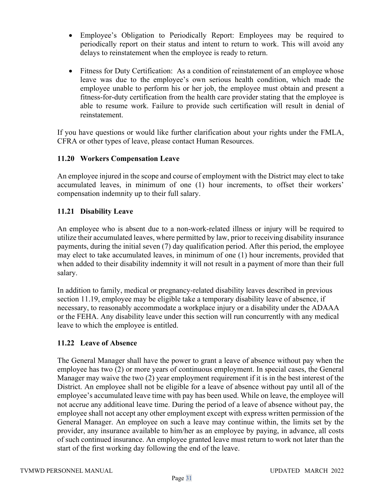- Employee's Obligation to Periodically Report: Employees may be required to periodically report on their status and intent to return to work. This will avoid any delays to reinstatement when the employee is ready to return.
- Fitness for Duty Certification: As a condition of reinstatement of an employee whose leave was due to the employee's own serious health condition, which made the employee unable to perform his or her job, the employee must obtain and present a fitness-for-duty certification from the health care provider stating that the employee is able to resume work. Failure to provide such certification will result in denial of reinstatement.

If you have questions or would like further clarification about your rights under the FMLA, CFRA or other types of leave, please contact Human Resources.

## <span id="page-36-0"></span>**11.20 Workers Compensation Leave**

An employee injured in the scope and course of employment with the District may elect to take accumulated leaves, in minimum of one (1) hour increments, to offset their workers' compensation indemnity up to their full salary.

## <span id="page-36-1"></span>**11.21 Disability Leave**

An employee who is absent due to a non-work-related illness or injury will be required to utilize their accumulated leaves, where permitted by law, prior to receiving disability insurance payments, during the initial seven (7) day qualification period. After this period, the employee may elect to take accumulated leaves, in minimum of one (1) hour increments, provided that when added to their disability indemnity it will not result in a payment of more than their full salary.

In addition to family, medical or pregnancy-related disability leaves described in previous section 11.19, employee may be eligible take a temporary disability leave of absence, if necessary, to reasonably accommodate a workplace injury or a disability under the ADAAA or the FEHA. Any disability leave under this section will run concurrently with any medical leave to which the employee is entitled.

#### <span id="page-36-2"></span>**11.22 Leave of Absence**

The General Manager shall have the power to grant a leave of absence without pay when the employee has two (2) or more years of continuous employment. In special cases, the General Manager may waive the two (2) year employment requirement if it is in the best interest of the District. An employee shall not be eligible for a leave of absence without pay until all of the employee's accumulated leave time with pay has been used. While on leave, the employee will not accrue any additional leave time. During the period of a leave of absence without pay, the employee shall not accept any other employment except with express written permission of the General Manager. An employee on such a leave may continue within, the limits set by the provider, any insurance available to him/her as an employee by paying, in advance, all costs of such continued insurance. An employee granted leave must return to work not later than the start of the first working day following the end of the leave.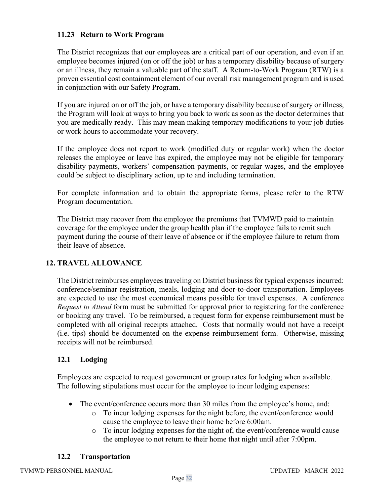#### <span id="page-37-0"></span>**11.23 Return to Work Program**

The District recognizes that our employees are a critical part of our operation, and even if an employee becomes injured (on or off the job) or has a temporary disability because of surgery or an illness, they remain a valuable part of the staff. A Return-to-Work Program (RTW) is a proven essential cost containment element of our overall risk management program and is used in conjunction with our Safety Program.

If you are injured on or off the job, or have a temporary disability because of surgery or illness, the Program will look at ways to bring you back to work as soon as the doctor determines that you are medically ready. This may mean making temporary modifications to your job duties or work hours to accommodate your recovery.

If the employee does not report to work (modified duty or regular work) when the doctor releases the employee or leave has expired, the employee may not be eligible for temporary disability payments, workers' compensation payments, or regular wages, and the employee could be subject to disciplinary action, up to and including termination.

For complete information and to obtain the appropriate forms, please refer to the RTW Program documentation.

The District may recover from the employee the premiums that TVMWD paid to maintain coverage for the employee under the group health plan if the employee fails to remit such payment during the course of their leave of absence or if the employee failure to return from their leave of absence.

#### <span id="page-37-1"></span>**12. TRAVEL ALLOWANCE**

The District reimburses employees traveling on District business for typical expenses incurred: conference/seminar registration, meals, lodging and door-to-door transportation. Employees are expected to use the most economical means possible for travel expenses. A conference *Request to Attend* form must be submitted for approval prior to registering for the conference or booking any travel. To be reimbursed, a request form for expense reimbursement must be completed with all original receipts attached. Costs that normally would not have a receipt (i.e. tips) should be documented on the expense reimbursement form. Otherwise, missing receipts will not be reimbursed.

#### <span id="page-37-2"></span>**12.1 Lodging**

Employees are expected to request government or group rates for lodging when available. The following stipulations must occur for the employee to incur lodging expenses:

- The event/conference occurs more than 30 miles from the employee's home, and:
	- o To incur lodging expenses for the night before, the event/conference would cause the employee to leave their home before 6:00am.
	- o To incur lodging expenses for the night of, the event/conference would cause the employee to not return to their home that night until after 7:00pm.

#### <span id="page-37-3"></span>**12.2 Transportation**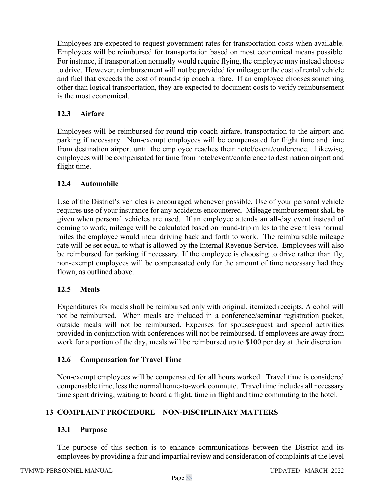Employees are expected to request government rates for transportation costs when available. Employees will be reimbursed for transportation based on most economical means possible. For instance, if transportation normally would require flying, the employee may instead choose to drive. However, reimbursement will not be provided for mileage or the cost of rental vehicle and fuel that exceeds the cost of round-trip coach airfare. If an employee chooses something other than logical transportation, they are expected to document costs to verify reimbursement is the most economical.

# <span id="page-38-0"></span>**12.3 Airfare**

Employees will be reimbursed for round-trip coach airfare, transportation to the airport and parking if necessary. Non-exempt employees will be compensated for flight time and time from destination airport until the employee reaches their hotel/event/conference. Likewise, employees will be compensated for time from hotel/event/conference to destination airport and flight time.

#### <span id="page-38-1"></span>**12.4 Automobile**

Use of the District's vehicles is encouraged whenever possible. Use of your personal vehicle requires use of your insurance for any accidents encountered. Mileage reimbursement shall be given when personal vehicles are used. If an employee attends an all-day event instead of coming to work, mileage will be calculated based on round-trip miles to the event less normal miles the employee would incur driving back and forth to work. The reimbursable mileage rate will be set equal to what is allowed by the Internal Revenue Service. Employees will also be reimbursed for parking if necessary. If the employee is choosing to drive rather than fly, non-exempt employees will be compensated only for the amount of time necessary had they flown, as outlined above.

#### <span id="page-38-2"></span>**12.5 Meals**

Expenditures for meals shall be reimbursed only with original, itemized receipts. Alcohol will not be reimbursed. When meals are included in a conference/seminar registration packet, outside meals will not be reimbursed. Expenses for spouses/guest and special activities provided in conjunction with conferences will not be reimbursed. If employees are away from work for a portion of the day, meals will be reimbursed up to \$100 per day at their discretion.

#### <span id="page-38-3"></span>**12.6 Compensation for Travel Time**

Non-exempt employees will be compensated for all hours worked. Travel time is considered compensable time, less the normal home-to-work commute. Travel time includes all necessary time spent driving, waiting to board a flight, time in flight and time commuting to the hotel.

#### <span id="page-38-4"></span>**13 COMPLAINT PROCEDURE – NON-DISCIPLINARY MATTERS**

#### <span id="page-38-5"></span>**13.1 Purpose**

The purpose of this section is to enhance communications between the District and its employees by providing a fair and impartial review and consideration of complaints at the level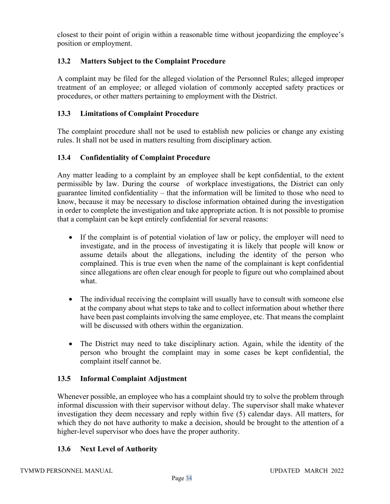closest to their point of origin within a reasonable time without jeopardizing the employee's position or employment.

# <span id="page-39-0"></span>**13.2 Matters Subject to the Complaint Procedure**

A complaint may be filed for the alleged violation of the Personnel Rules; alleged improper treatment of an employee; or alleged violation of commonly accepted safety practices or procedures, or other matters pertaining to employment with the District.

#### <span id="page-39-1"></span>**13.3 Limitations of Complaint Procedure**

The complaint procedure shall not be used to establish new policies or change any existing rules. It shall not be used in matters resulting from disciplinary action.

## <span id="page-39-2"></span>**13.4 Confidentiality of Complaint Procedure**

Any matter leading to a complaint by an employee shall be kept confidential, to the extent permissible by law. During the course of workplace investigations, the District can only guarantee limited confidentiality – that the information will be limited to those who need to know, because it may be necessary to disclose information obtained during the investigation in order to complete the investigation and take appropriate action. It is not possible to promise that a complaint can be kept entirely confidential for several reasons:

- If the complaint is of potential violation of law or policy, the employer will need to investigate, and in the process of investigating it is likely that people will know or assume details about the allegations, including the identity of the person who complained. This is true even when the name of the complainant is kept confidential since allegations are often clear enough for people to figure out who complained about what.
- The individual receiving the complaint will usually have to consult with someone else at the company about what steps to take and to collect information about whether there have been past complaints involving the same employee, etc. That means the complaint will be discussed with others within the organization.
- The District may need to take disciplinary action. Again, while the identity of the person who brought the complaint may in some cases be kept confidential, the complaint itself cannot be.

#### <span id="page-39-3"></span>**13.5 Informal Complaint Adjustment**

Whenever possible, an employee who has a complaint should try to solve the problem through informal discussion with their supervisor without delay. The supervisor shall make whatever investigation they deem necessary and reply within five (5) calendar days. All matters, for which they do not have authority to make a decision, should be brought to the attention of a higher-level supervisor who does have the proper authority.

#### <span id="page-39-4"></span>**13.6 Next Level of Authority**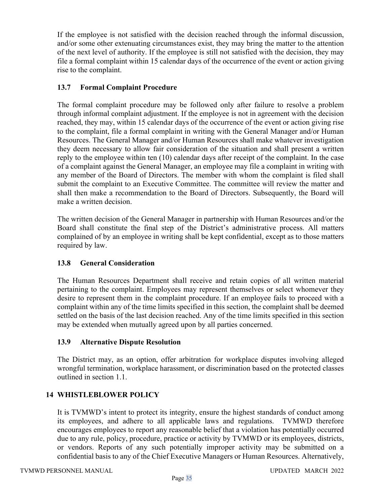If the employee is not satisfied with the decision reached through the informal discussion, and/or some other extenuating circumstances exist, they may bring the matter to the attention of the next level of authority. If the employee is still not satisfied with the decision, they may file a formal complaint within 15 calendar days of the occurrence of the event or action giving rise to the complaint.

## <span id="page-40-0"></span>**13.7 Formal Complaint Procedure**

The formal complaint procedure may be followed only after failure to resolve a problem through informal complaint adjustment. If the employee is not in agreement with the decision reached, they may, within 15 calendar days of the occurrence of the event or action giving rise to the complaint, file a formal complaint in writing with the General Manager and/or Human Resources. The General Manager and/or Human Resources shall make whatever investigation they deem necessary to allow fair consideration of the situation and shall present a written reply to the employee within ten (10) calendar days after receipt of the complaint. In the case of a complaint against the General Manager, an employee may file a complaint in writing with any member of the Board of Directors. The member with whom the complaint is filed shall submit the complaint to an Executive Committee. The committee will review the matter and shall then make a recommendation to the Board of Directors. Subsequently, the Board will make a written decision.

The written decision of the General Manager in partnership with Human Resources and/or the Board shall constitute the final step of the District's administrative process. All matters complained of by an employee in writing shall be kept confidential, except as to those matters required by law.

#### <span id="page-40-1"></span>**13.8 General Consideration**

The Human Resources Department shall receive and retain copies of all written material pertaining to the complaint. Employees may represent themselves or select whomever they desire to represent them in the complaint procedure. If an employee fails to proceed with a complaint within any of the time limits specified in this section, the complaint shall be deemed settled on the basis of the last decision reached. Any of the time limits specified in this section may be extended when mutually agreed upon by all parties concerned.

#### <span id="page-40-2"></span>**13.9 Alternative Dispute Resolution**

The District may, as an option, offer arbitration for workplace disputes involving alleged wrongful termination, workplace harassment, or discrimination based on the protected classes outlined in section 1.1.

# <span id="page-40-3"></span>**14 WHISTLEBLOWER POLICY**

It is TVMWD's intent to protect its integrity, ensure the highest standards of conduct among its employees, and adhere to all applicable laws and regulations. TVMWD therefore encourages employees to report any reasonable belief that a violation has potentially occurred due to any rule, policy, procedure, practice or activity by TVMWD or its employees, districts, or vendors. Reports of any such potentially improper activity may be submitted on a confidential basis to any of the Chief Executive Managers or Human Resources. Alternatively,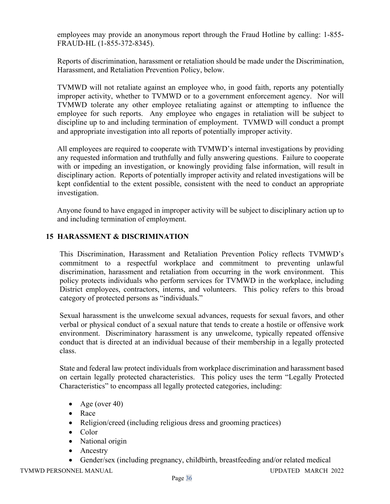employees may provide an anonymous report through the Fraud Hotline by calling: 1-855- FRAUD-HL (1-855-372-8345).

Reports of discrimination, harassment or retaliation should be made under the Discrimination, Harassment, and Retaliation Prevention Policy, below.

TVMWD will not retaliate against an employee who, in good faith, reports any potentially improper activity, whether to TVMWD or to a government enforcement agency. Nor will TVMWD tolerate any other employee retaliating against or attempting to influence the employee for such reports. Any employee who engages in retaliation will be subject to discipline up to and including termination of employment. TVMWD will conduct a prompt and appropriate investigation into all reports of potentially improper activity.

All employees are required to cooperate with TVMWD's internal investigations by providing any requested information and truthfully and fully answering questions. Failure to cooperate with or impeding an investigation, or knowingly providing false information, will result in disciplinary action. Reports of potentially improper activity and related investigations will be kept confidential to the extent possible, consistent with the need to conduct an appropriate investigation.

Anyone found to have engaged in improper activity will be subject to disciplinary action up to and including termination of employment.

# <span id="page-41-0"></span>**15 HARASSMENT & DISCRIMINATION**

This Discrimination, Harassment and Retaliation Prevention Policy reflects TVMWD's commitment to a respectful workplace and commitment to preventing unlawful discrimination, harassment and retaliation from occurring in the work environment. This policy protects individuals who perform services for TVMWD in the workplace, including District employees, contractors, interns, and volunteers. This policy refers to this broad category of protected persons as "individuals."

Sexual harassment is the unwelcome sexual advances, requests for sexual favors, and other verbal or physical conduct of a sexual nature that tends to create a hostile or offensive work environment. Discriminatory harassment is any unwelcome, typically repeated offensive conduct that is directed at an individual because of their membership in a legally protected class.

State and federal law protect individuals from workplace discrimination and harassment based on certain legally protected characteristics. This policy uses the term "Legally Protected Characteristics" to encompass all legally protected categories, including:

- Age (over  $40$ )
- Race
- Religion/creed (including religious dress and grooming practices)
- Color
- National origin
- Ancestry
- Gender/sex (including pregnancy, childbirth, breastfeeding and/or related medical

TVMWD PERSONNEL MANUAL **TVMWD PERSONNEL MANUAL**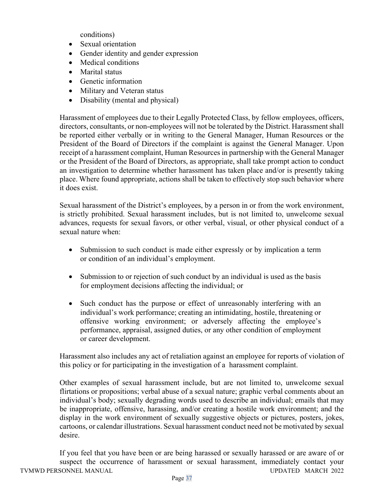conditions)

- Sexual orientation
- Gender identity and gender expression
- Medical conditions
- Marital status
- Genetic information
- Military and Veteran status
- Disability (mental and physical)

Harassment of employees due to their Legally Protected Class, by fellow employees, officers, directors, consultants, or non-employees will not be tolerated by the District. Harassment shall be reported either verbally or in writing to the General Manager, Human Resources or the President of the Board of Directors if the complaint is against the General Manager. Upon receipt of a harassment complaint, Human Resources in partnership with the General Manager or the President of the Board of Directors, as appropriate, shall take prompt action to conduct an investigation to determine whether harassment has taken place and/or is presently taking place. Where found appropriate, actions shall be taken to effectively stop such behavior where it does exist.

Sexual harassment of the District's employees, by a person in or from the work environment, is strictly prohibited. Sexual harassment includes, but is not limited to, unwelcome sexual advances, requests for sexual favors, or other verbal, visual, or other physical conduct of a sexual nature when:

- Submission to such conduct is made either expressly or by implication a term or condition of an individual's employment.
- Submission to or rejection of such conduct by an individual is used as the basis for employment decisions affecting the individual; or
- Such conduct has the purpose or effect of unreasonably interfering with an individual's work performance; creating an intimidating, hostile, threatening or offensive working environment; or adversely affecting the employee's performance, appraisal, assigned duties, or any other condition of employment or career development.

Harassment also includes any act of retaliation against an employee for reports of violation of this policy or for participating in the investigation of a harassment complaint.

Other examples of sexual harassment include, but are not limited to, unwelcome sexual flirtations or propositions; verbal abuse of a sexual nature; graphic verbal comments about an individual's body; sexually degrading words used to describe an individual; emails that may be inappropriate, offensive, harassing, and/or creating a hostile work environment; and the display in the work environment of sexually suggestive objects or pictures, posters, jokes, cartoons, or calendar illustrations. Sexual harassment conduct need not be motivated by sexual desire.

TVMWD PERSONNEL MANUAL **TVMWD PERSONNEL MANUAL** If you feel that you have been or are being harassed or sexually harassed or are aware of or suspect the occurrence of harassment or sexual harassment, immediately contact your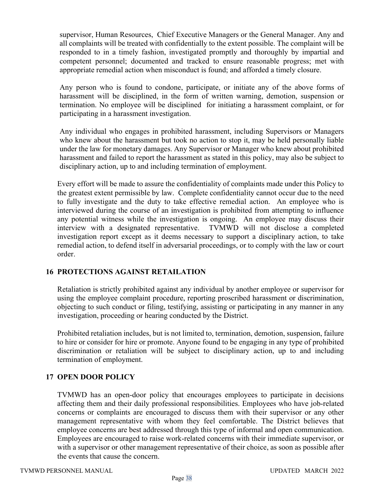supervisor, Human Resources, Chief Executive Managers or the General Manager. Any and all complaints will be treated with confidentially to the extent possible. The complaint will be responded to in a timely fashion, investigated promptly and thoroughly by impartial and competent personnel; documented and tracked to ensure reasonable progress; met with appropriate remedial action when misconduct is found; and afforded a timely closure.

Any person who is found to condone, participate, or initiate any of the above forms of harassment will be disciplined, in the form of written warning, demotion, suspension or termination. No employee will be disciplined for initiating a harassment complaint, or for participating in a harassment investigation.

Any individual who engages in prohibited harassment, including Supervisors or Managers who knew about the harassment but took no action to stop it, may be held personally liable under the law for monetary damages. Any Supervisor or Manager who knew about prohibited harassment and failed to report the harassment as stated in this policy, may also be subject to disciplinary action, up to and including termination of employment.

Every effort will be made to assure the confidentiality of complaints made under this Policy to the greatest extent permissible by law. Complete confidentiality cannot occur due to the need to fully investigate and the duty to take effective remedial action. An employee who is interviewed during the course of an investigation is prohibited from attempting to influence any potential witness while the investigation is ongoing. An employee may discuss their interview with a designated representative. TVMWD will not disclose a completed investigation report except as it deems necessary to support a disciplinary action, to take remedial action, to defend itself in adversarial proceedings, or to comply with the law or court order.

#### <span id="page-43-0"></span>**16 PROTECTIONS AGAINST RETAILATION**

Retaliation is strictly prohibited against any individual by another employee or supervisor for using the employee complaint procedure, reporting proscribed harassment or discrimination, objecting to such conduct or filing, testifying, assisting or participating in any manner in any investigation, proceeding or hearing conducted by the District.

Prohibited retaliation includes, but is not limited to, termination, demotion, suspension, failure to hire or consider for hire or promote. Anyone found to be engaging in any type of prohibited discrimination or retaliation will be subject to disciplinary action, up to and including termination of employment.

#### <span id="page-43-1"></span>**17 OPEN DOOR POLICY**

TVMWD has an open-door policy that encourages employees to participate in decisions affecting them and their daily professional responsibilities. Employees who have job-related concerns or complaints are encouraged to discuss them with their supervisor or any other management representative with whom they feel comfortable. The District believes that employee concerns are best addressed through this type of informal and open communication. Employees are encouraged to raise work-related concerns with their immediate supervisor, or with a supervisor or other management representative of their choice, as soon as possible after the events that cause the concern.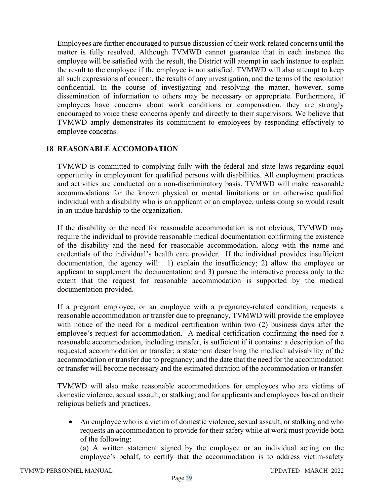Employees are further encouraged to pursue discussion of their work-related concerns until the matter is fully resolved. Although TVMWD cannot guarantee that in each instance the employee will be satisfied with the result, the District will attempt in each instance to explain the result to the employee if the employee is not satisfied. TVMWD will also attempt to keep all such expressions of concern, the results of any investigation, and the terms of the resolution confidential. In the course of investigating and resolving the matter, however, some dissemination of information to others may be necessary or appropriate. Furthermore, if employees have concerns about work conditions or compensation, they are strongly encouraged to voice these concerns openly and directly to their supervisors. We believe that TVMWD amply demonstrates its commitment to employees by responding effectively to employee concerns.

#### <span id="page-44-0"></span>**18 REASONABLE ACCOMODATION**

TVMWD is committed to complying fully with the federal and state laws regarding equal opportunity in employment for qualified persons with disabilities. All employment practices and activities are conducted on a non-discriminatory basis. TVMWD will make reasonable accommodations for the known physical or mental limitations or an otherwise qualified individual with a disability who is an applicant or an employee, unless doing so would result in an undue hardship to the organization.

If the disability or the need for reasonable accommodation is not obvious, TVMWD may require the individual to provide reasonable medical documentation confirming the existence of the disability and the need for reasonable accommodation, along with the name and credentials of the individual's health care provider. If the individual provides insufficient documentation, the agency will: 1) explain the insufficiency; 2) allow the employee or applicant to supplement the documentation; and 3) pursue the interactive process only to the extent that the request for reasonable accommodation is supported by the medical documentation provided.

If a pregnant employee, or an employee with a pregnancy-related condition, requests a reasonable accommodation or transfer due to pregnancy, TVMWD will provide the employee with notice of the need for a medical certification within two (2) business days after the employee's request for accommodation. A medical certification confirming the need for a reasonable accommodation, including transfer, is sufficient if it contains: a description of the requested accommodation or transfer; a statement describing the medical advisability of the accommodation or transfer due to pregnancy; and the date that the need for the accommodation or transfer will become necessary and the estimated duration of the accommodation or transfer.

TVMWD will also make reasonable accommodations for employees who are victims of domestic violence, sexual assault, or stalking; and for applicants and employees based on their religious beliefs and practices.

• An employee who is a victim of domestic violence, sexual assault, or stalking and who requests an accommodation to provide for their safety while at work must provide both of the following:

(a) A written statement signed by the employee or an individual acting on the employee's behalf, to certify that the accommodation is to address victim-safety